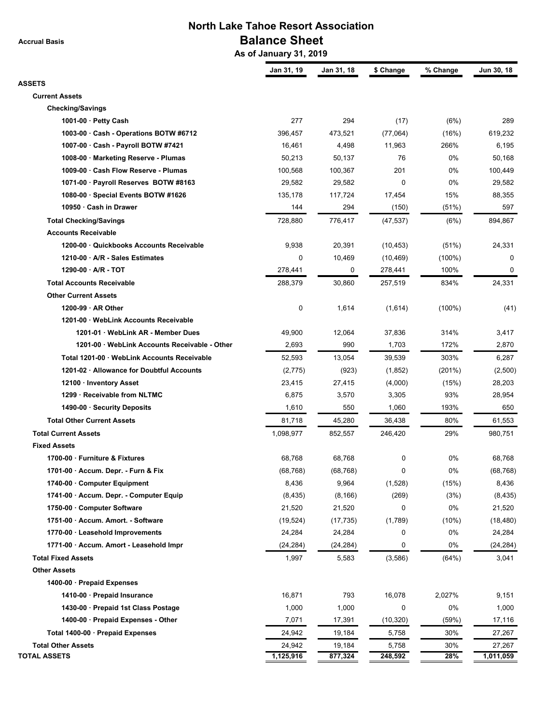**Accrual Basis**

## **North Lake Tahoe Resort Association Balance Sheet**

 **As of January 31, 2019**

|                                                         | Jan 31, 19        | Jan 31, 18      | \$ Change         | % Change     | Jun 30, 18       |
|---------------------------------------------------------|-------------------|-----------------|-------------------|--------------|------------------|
| <b>ASSETS</b><br><b>Current Assets</b>                  |                   |                 |                   |              |                  |
| <b>Checking/Savings</b>                                 |                   |                 |                   |              |                  |
| 1001-00 $\cdot$ Petty Cash                              | 277               | 294             | (17)              | (6%)         | 289              |
| 1003-00 · Cash - Operations BOTW #6712                  | 396,457           | 473,521         | (77,064)          | (16%)        | 619,232          |
| 1007-00 · Cash - Payroll BOTW #7421                     | 16,461            | 4,498           | 11,963            | 266%         | 6,195            |
| 1008-00 · Marketing Reserve - Plumas                    | 50,213            | 50,137          | 76                | 0%           | 50,168           |
| 1009-00 · Cash Flow Reserve - Plumas                    | 100,568           | 100,367         | 201               | 0%           | 100,449          |
| 1071-00 · Payroll Reserves BOTW #8163                   | 29,582            | 29,582          | 0                 | 0%           | 29,582           |
| 1080-00 · Special Events BOTW #1626                     | 135,178           | 117,724         | 17,454            | 15%          | 88,355           |
| 10950 · Cash in Drawer                                  | 144               | 294             | (150)             | (51%)        | 597              |
| <b>Total Checking/Savings</b>                           | 728,880           | 776,417         | (47, 537)         | (6%)         | 894,867          |
| <b>Accounts Receivable</b>                              |                   |                 |                   |              |                  |
| 1200-00 · Quickbooks Accounts Receivable                | 9,938             | 20,391          | (10, 453)         | (51%)        | 24,331           |
| 1210-00 · A/R - Sales Estimates                         | 0                 | 10,469          | (10, 469)         | $(100\%)$    | 0                |
| 1290-00 · A/R - TOT                                     | 278,441           | 0               | 278,441           | 100%         | 0                |
| <b>Total Accounts Receivable</b>                        | 288,379           | 30,860          | 257,519           | 834%         | 24,331           |
| <b>Other Current Assets</b>                             |                   |                 |                   |              |                  |
| $1200-99 \cdot AR$ Other                                | 0                 | 1,614           | (1,614)           | $(100\%)$    | (41)             |
| 1201-00 · WebLink Accounts Receivable                   |                   |                 |                   |              |                  |
| 1201-01 · WebLink AR - Member Dues                      | 49,900            | 12,064          | 37,836            | 314%         | 3,417            |
| 1201-00 · WebLink Accounts Receivable - Other           | 2,693             | 990             | 1,703             | 172%         | 2,870            |
| Total 1201-00 · WebLink Accounts Receivable             |                   |                 |                   | 303%         |                  |
| 1201-02 · Allowance for Doubtful Accounts               | 52,593            | 13,054<br>(923) | 39,539<br>(1,852) | (201%)       | 6,287<br>(2,500) |
|                                                         | (2,775)<br>23,415 | 27,415          |                   |              | 28,203           |
| 12100 · Inventory Asset<br>1299 · Receivable from NLTMC | 6,875             | 3,570           | (4,000)<br>3,305  | (15%)<br>93% | 28,954           |
| 1490-00 · Security Deposits                             | 1,610             | 550             | 1,060             | 193%         | 650              |
| <b>Total Other Current Assets</b>                       | 81,718            | 45,280          | 36,438            | 80%          | 61,553           |
|                                                         |                   |                 |                   |              |                  |
| <b>Total Current Assets</b>                             | 1,098,977         | 852,557         | 246,420           | 29%          | 980,751          |
| <b>Fixed Assets</b>                                     |                   |                 |                   |              |                  |
| 1700-00 · Furniture & Fixtures                          | 68,768            | 68,768          | 0                 | 0%           | 68,768           |
| 1701-00 · Accum. Depr. - Furn & Fix                     | (68, 768)         | (68, 768)       | 0                 | $0\%$        | (68, 768)        |
| 1740-00 Computer Equipment                              | 8,436             | 9,964           | (1,528)           | (15%)        | 8,436            |
| 1741-00 · Accum. Depr. - Computer Equip                 | (8, 435)          | (8, 166)        | (269)             | (3%)         | (8, 435)         |
| 1750-00 · Computer Software                             | 21,520            | 21,520          | 0                 | 0%           | 21,520           |
| 1751-00 · Accum. Amort. - Software                      | (19, 524)         | (17, 735)       | (1,789)           | (10%)        | (18, 480)        |
| 1770-00 · Leasehold Improvements                        | 24,284            | 24,284          | 0                 | 0%           | 24,284           |
| 1771-00 · Accum. Amort - Leasehold Impr                 | (24, 284)         | (24,284)        | 0                 | 0%           | (24, 284)        |
| <b>Total Fixed Assets</b>                               | 1,997             | 5,583           | (3,586)           | (64%)        | 3,041            |
| <b>Other Assets</b>                                     |                   |                 |                   |              |                  |
| 1400-00 · Prepaid Expenses                              |                   |                 |                   |              |                  |
| 1410-00 · Prepaid Insurance                             | 16,871            | 793             | 16,078            | 2,027%       | 9,151            |
| 1430-00 · Prepaid 1st Class Postage                     | 1,000             | 1,000           | 0                 | 0%           | 1,000            |
| 1400-00 · Prepaid Expenses - Other                      | 7,071             | 17,391          | (10, 320)         | (59%)        | 17,116           |
| Total 1400-00 · Prepaid Expenses                        | 24,942            | 19,184          | 5,758             | 30%          | 27,267           |
| <b>Total Other Assets</b>                               | 24,942            | 19,184          | 5,758             | 30%          | 27,267           |
| <b>TOTAL ASSETS</b>                                     | 1,125,916         | 877,324         | 248,592           | 28%          | 1,011,059        |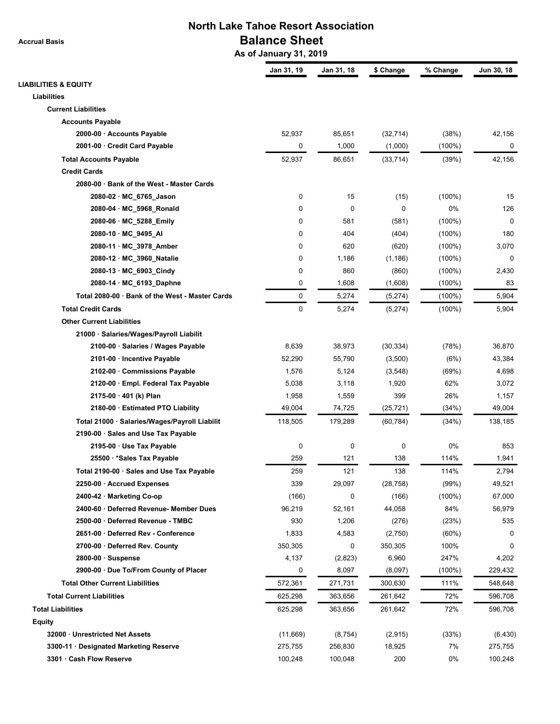**Accrual Basis**

## **North Lake Tahoe Resort Association Balance Sheet**

 **As of January 31, 2019**

|                                                 | Jan 31, 19  | Jan 31, 18 | \$ Change   | % Change  | Jun 30, 18  |
|-------------------------------------------------|-------------|------------|-------------|-----------|-------------|
| <b>LIABILITIES &amp; EQUITY</b>                 |             |            |             |           |             |
| Liabilities                                     |             |            |             |           |             |
| <b>Current Liabilities</b>                      |             |            |             |           |             |
| <b>Accounts Payable</b>                         |             |            |             |           |             |
| 2000-00 · Accounts Payable                      | 52,937      | 85,651     | (32, 714)   | (38%)     | 42,156      |
| 2001-00 · Credit Card Payable                   | 0           | 1,000      | (1,000)     | $(100\%)$ | 0           |
| <b>Total Accounts Payable</b>                   | 52,937      | 86,651     | (33, 714)   | (39%)     | 42,156      |
| <b>Credit Cards</b>                             |             |            |             |           |             |
| 2080-00 · Bank of the West - Master Cards       |             |            |             |           |             |
| 2080-02 · MC_6765_Jason                         | 0           | 15         | (15)        | $(100\%)$ | 15          |
| 2080-04 · MC_5968_Ronald                        | 0           | 0          | $\mathbf 0$ | 0%        | 126         |
| 2080-06 · MC_5288_Emily                         | 0           | 581        | (581)       | $(100\%)$ | $\mathbf 0$ |
| 2080-10 · MC_9495_AI                            | 0           | 404        | (404)       | $(100\%)$ | 180         |
| 2080-11 · MC 3978 Amber                         | 0           | 620        | (620)       | $(100\%)$ | 3,070       |
| 2080-12 · MC_3960_Natalie                       | 0           | 1,186      | (1, 186)    | $(100\%)$ | 0           |
| 2080-13 · MC_6903_Cindy                         | 0           | 860        | (860)       | $(100\%)$ | 2,430       |
| 2080-14 · MC_6193_Daphne                        | 0           | 1,608      | (1,608)     | $(100\%)$ | 83          |
| Total 2080-00 · Bank of the West - Master Cards | 0           | 5,274      | (5,274)     | $(100\%)$ | 5,904       |
| <b>Total Credit Cards</b>                       | $\mathbf 0$ | 5,274      | (5,274)     | $(100\%)$ | 5,904       |
| <b>Other Current Liabilities</b>                |             |            |             |           |             |
| 21000 · Salaries/Wages/Payroll Liabilit         |             |            |             |           |             |
| 2100-00 · Salaries / Wages Payable              | 8,639       | 38,973     | (30, 334)   | (78%)     | 36,870      |
| 2101-00 · Incentive Payable                     | 52,290      | 55,790     | (3,500)     | (6%)      | 43,384      |
| 2102-00 · Commissions Payable                   | 1,576       | 5,124      | (3, 548)    | (69%)     | 4,698       |
| 2120-00 · Empl. Federal Tax Payable             | 5,038       | 3,118      | 1,920       | 62%       | 3,072       |
| 2175-00 · 401 (k) Plan                          | 1,958       | 1,559      | 399         | 26%       | 1,157       |
| 2180-00 · Estimated PTO Liability               | 49,004      | 74,725     | (25, 721)   | (34%)     | 49,004      |
| Total 21000 · Salaries/Wages/Payroll Liabilit   | 118,505     | 179,289    | (60, 784)   | (34%)     | 138,185     |
| 2190-00 · Sales and Use Tax Payable             |             |            |             |           |             |
| 2195-00 · Use Tax Payable                       | 0           | 0          | 0           | 0%        | 853         |
| 25500 · * Sales Tax Payable                     | 259         | 121        | 138         | 114%      | 1,941       |
| Total 2190-00 · Sales and Use Tax Payable       | 259         | 121        | 138         | 114%      | 2,794       |
| 2250-00 · Accrued Expenses                      | 339         | 29,097     | (28, 758)   | (99%)     | 49,521      |
| 2400-42 · Marketing Co-op                       | (166)       | 0          | (166)       | $(100\%)$ | 67,000      |
| 2400-60 · Deferred Revenue- Member Dues         | 96,219      | 52,161     | 44,058      | 84%       | 56,979      |
| 2500-00 · Deferred Revenue - TMBC               | 930         | 1,206      | (276)       | (23%)     | 535         |
| 2651-00 · Deferred Rev - Conference             | 1,833       | 4,583      | (2,750)     | (60%)     | 0           |
| 2700-00 · Deferred Rev. County                  | 350,305     | 0          | 350,305     | 100%      | 0           |
| $2800-00 \cdot$ Suspense                        | 4,137       | (2,823)    | 6,960       | 247%      | 4,202       |
| 2900-00 · Due To/From County of Placer          | 0           | 8,097      | (8,097)     | $(100\%)$ | 229,432     |
| <b>Total Other Current Liabilities</b>          | 572,361     | 271,731    | 300,630     | 111%      | 548,648     |
| <b>Total Current Liabilities</b>                | 625,298     | 363,656    | 261,642     | 72%       | 596,708     |
| <b>Total Liabilities</b>                        |             |            |             |           |             |
|                                                 | 625,298     | 363,656    | 261,642     | 72%       | 596,708     |
| Equity                                          |             |            |             |           |             |
| 32000 · Unrestricted Net Assets                 | (11,669)    | (8, 754)   | (2,915)     | (33%)     | (6, 430)    |
| 3300-11 · Designated Marketing Reserve          | 275,755     | 256,830    | 18,925      | 7%        | 275,755     |
| 3301 · Cash Flow Reserve                        | 100,248     | 100,048    | 200         | 0%        | 100,248     |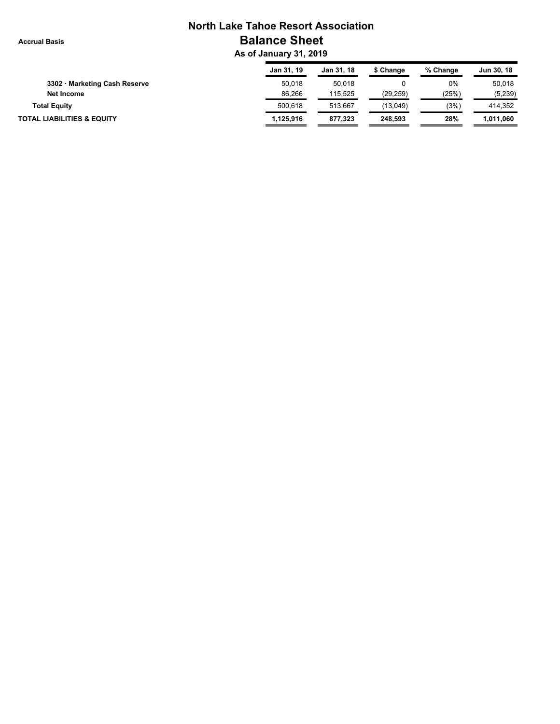#### **Accrual Basis**

## **North Lake Tahoe Resort Association Balance Sheet**

 **As of January 31, 2019**

|                                       | Jan 31, 19 | Jan 31, 18 | \$ Change | % Change | Jun 30, 18 |
|---------------------------------------|------------|------------|-----------|----------|------------|
| 3302 · Marketing Cash Reserve         | 50.018     | 50,018     |           | $0\%$    | 50.018     |
| Net Income                            | 86.266     | 115.525    | (29.259)  | (25%)    | (5,239)    |
| <b>Total Equity</b>                   | 500.618    | 513.667    | (13,049)  | (3%)     | 414,352    |
| <b>TOTAL LIABILITIES &amp; EQUITY</b> | 1,125,916  | 877,323    | 248.593   | 28%      | 1,011,060  |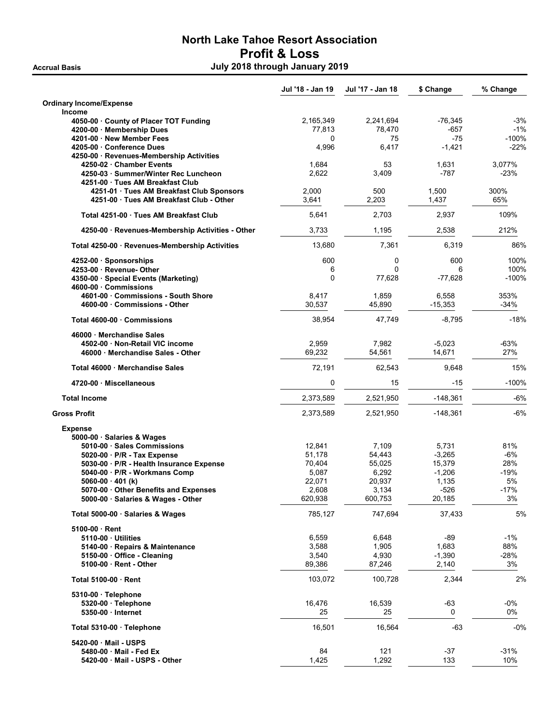### North Lake Tahoe Resort Association Profit & Loss Accrual Basis July 2018 through January 2019

Jul '18 - Jan 19 Jul '17 - Jan 18 \$ Change % Change Ordinary Income/Expense Income 4050-00 · County of Placer TOT Funding  $2,165,349$   $2,241,694$   $-76,345$   $-3\%$ 4200-00 · Membership Dues 77,813 78,470 -657 -1% 4201-00 · New Member Fees 6 201 - 100 · 100 · 100 · 100 · 100 · 100 · 100 · 100 · 100 · 100 · 100 · 100 · 100 · 100 · 100 · 100 · 100 · 100 · 100 · 100 · 100 · 100 · 100 · 100 · 100 · 100 · 100 · 100 · 100 · 100 · 100 · 10 4205-00 · Conference Dues 4,996 6,417 -1,421 -22% 4250-00 · Revenues-Membership Activities 4250-02 · Chamber Events 1,684 53 1,631 3,077% 4250-03 · Summer/Winter Rec Luncheon 2,622 3,409 -787 -23% -23% 4251-00 · Tues AM Breakfast Club 4251-01 · Tues AM Breakfast Club Sponsors 2,000 500 500 1,500 300% 4251-00 · Tues AM Breakfast Club - Other 3,641 2,203 1,437 65% Total 4251-00 · Tues AM Breakfast Club  $5.641$  2,703 2,937 109% 4250-00 · Revenues-Membership Activities - Other 3,733 1,195 2,538 212% Total 4250-00 · Revenues-Membership Activities 13,680 7,361 6,319 68% **4252-00 · Sponsorships 600** 600 600 100% 4253-00 · Revenue- Other 6 0 6 100% 4350-00 · Special Events (Marketing) 20 0 17,628 -77,628 -77,628 4600-00 · Commissions 4601-00 · Commissions - South Shore 8,417 1,859 6,558 353% 4600-00 · Commissions - Other 30,537 45,890 -15,353 -34% Total 4600-00 · Commissions 47,749 -8,795 -18% -18% -18% -8,795 -18% -18% -18% -18% -18% -18% -18% -1 46000 · Merchandise Sales 4502-00 · Non-Retail VIC income 2,959 7,982 -5,023 -63% 46000 · Merchandise Sales - Other 69,232 Total 46000 · Merchandise Sales 72,191 62,543 9,648 15% 4720-00 · Miscellaneous 0 15 -15 -100% Total Income 2,373,589 2,521,950 -148,361 -6% Gross Profit 2,373,589 2,521,950 -148,361 -6% Expense 5000-00 · Salaries & Wages 5010-00 · Sales Commissions 12,841 7,109 5,731 81% 5020-00 · P/R - Tax Expense 51,178 54,443 -3,265 -6% 5030-00 · P/R - Health Insurance Expense 5040-00 · P/R - Workmans Comp 5,087 6,292 -1,206 -19% **5060-00 · 401 (k)** 22,071 20,937 1,135 5070-00 · Other Benefits and Expenses 2,608 3,134 -526 -17% 5000-00 · Salaries & Wages - Other 620,938 600,753 20,185 3% Total 5000-00 · Salaries & Wages 6% and the contract of the contract of the contract of the contract of the contract of the contract of the contract of the contract of the contract of the contract of the contract of the co 5100-00 · Rent 5110-00 · Utilities 6,559 6,648 -89 -1% 5140-00 · Repairs & Maintenance 3,588 1,905 1,683 88%<br>5150-00 · Office - Cleaning 3.540 4.930 -1.390 -28% **5150-00 · Office - Cleaning 200 -1,390 -21,390 -21,390 -1,390 -1,390 -1,390** 5100-00 · Rent - Other 89,386 87,246 2,140 3% Total 5100-00 · Rent 103,072 100,728 2,344 2% 5310-00 · Telephone **5320-00 · Telephone 16,476 16,539 -03 -0% -63 -0% -63 -0% -63 -0% -63 -0% -63 -0%** 5350-00 · Internet 25 25 0 0% Total 5310-00 · Telephone 16,501 16,501 16,564 -63 -0%

5420-00 · Mail - USPS 5480-00 · Mail - Fed Ex 31% · Set 31% · Set 31% · Set 31% · Set 31% · Set 31% · Set 31% · Set 31% · Set 31% · S 5420-00 · Mail - USPS - Other 1,425 1,292 133 10%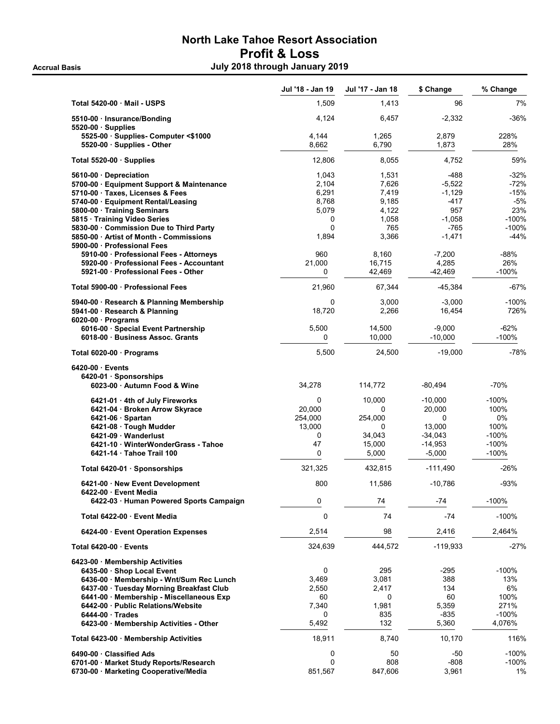## North Lake Tahoe Resort Association Profit & Loss Accrual Basis **Accrual Basis July 2018 through January 2019**

|                                                                              | Jul '18 - Jan 19  | Jul '17 - Jan 18 | \$ Change          | % Change      |
|------------------------------------------------------------------------------|-------------------|------------------|--------------------|---------------|
| Total 5420-00 Mail - USPS                                                    | 1,509             | 1,413            | 96                 | 7%            |
| 5510-00 · Insurance/Bonding<br>$5520-00$ · Supplies                          | 4,124             | 6,457            | $-2,332$           | $-36%$        |
| 5525-00 · Supplies- Computer <\$1000                                         | 4,144             | 1,265            | 2,879              | 228%          |
| 5520-00 · Supplies - Other                                                   | 8,662             | 6,790            | 1,873              | 28%           |
| Total 5520-00 · Supplies                                                     | 12,806            | 8,055            | 4,752              | 59%           |
| 5610-00 Depreciation                                                         | 1,043             | 1,531            | -488               | $-32%$        |
| 5700-00 · Equipment Support & Maintenance                                    | 2,104             | 7,626            | $-5,522$           | $-72%$        |
| 5710-00 · Taxes, Licenses & Fees                                             | 6,291             | 7,419            | $-1,129$           | $-15%$        |
| 5740-00 · Equipment Rental/Leasing<br>5800-00 · Training Seminars            | 8,768<br>5,079    | 9,185<br>4.122   | $-417$<br>957      | $-5%$<br>23%  |
| 5815 · Training Video Series                                                 | 0                 | 1,058            | $-1,058$           | -100%         |
| 5830-00 Commission Due to Third Party                                        | $\Omega$          | 765              | $-765$             | -100%         |
| 5850-00 Artist of Month - Commissions                                        | 1,894             | 3,366            | $-1,471$           | $-44%$        |
| 5900-00 · Professional Fees                                                  |                   |                  |                    |               |
| 5910-00 · Professional Fees - Attorneys                                      | 960               | 8,160            | $-7,200$           | -88%          |
| 5920-00 Professional Fees - Accountant                                       | 21,000            | 16,715           | 4,285              | 26%           |
| 5921-00 Professional Fees - Other                                            | 0                 | 42,469           | $-42,469$          | -100%         |
| Total 5900-00 · Professional Fees                                            | 21,960            | 67,344           | $-45,384$          | $-67%$        |
| 5940-00 · Research & Planning Membership<br>5941-00 · Research & Planning    | 0<br>18.720       | 3,000<br>2,266   | $-3,000$<br>16,454 | -100%<br>726% |
| $6020-00$ · Programs<br>6016-00 · Special Event Partnership                  | 5,500             | 14,500           | $-9,000$           | $-62%$        |
| 6018-00 Business Assoc. Grants                                               | 0                 | 10,000           | $-10.000$          | -100%         |
| Total 6020-00 · Programs                                                     | 5,500             | 24,500           | $-19,000$          | $-78%$        |
| 6420-00 Events                                                               |                   |                  |                    |               |
| 6420-01 Sponsorships<br>6023-00 Autumn Food & Wine                           | 34,278            | 114,772          | $-80,494$          | $-70%$        |
|                                                                              |                   |                  |                    |               |
| 6421-01 · 4th of July Fireworks                                              | 0                 | 10,000           | $-10,000$          | -100%         |
| 6421-04 · Broken Arrow Skyrace                                               | 20,000            | 0                | 20,000             | 100%          |
| $6421-06$ · Spartan<br>6421-08 · Tough Mudder                                | 254,000<br>13,000 | 254,000<br>0     | $\Omega$<br>13,000 | 0%<br>100%    |
| 6421-09 Wanderlust                                                           | 0                 | 34,043           | $-34,043$          | $-100%$       |
| 6421-10 · WinterWonderGrass - Tahoe                                          | 47                | 15,000           | $-14,953$          | $-100%$       |
| 6421-14 Tahoe Trail 100                                                      | 0                 | 5,000            | $-5,000$           | $-100%$       |
| Total 6420-01 · Sponsorships                                                 | 321,325           | 432,815          | $-111,490$         | $-26%$        |
| 6421-00 New Event Development<br>6422-00 Event Media                         | 800               | 11,586           | $-10,786$          | $-93%$        |
| 6422-03 · Human Powered Sports Campaign                                      | 0                 | 74               | -74                | $-100%$       |
| Total 6422-00 Event Media                                                    | 0                 | 74               | $-74$              | $-100%$       |
| 6424-00 Event Operation Expenses                                             | 2,514             | 98               | 2,416              | 2,464%        |
| Total 6420-00 · Events                                                       | 324,639           | 444,572          | $-119,933$         | $-27%$        |
| 6423-00 Membership Activities                                                |                   |                  |                    |               |
| 6435-00 · Shop Local Event                                                   | 0                 | 295              | -295               | -100%         |
| 6436-00 · Membership - Wnt/Sum Rec Lunch                                     | 3,469             | 3,081            | 388                | 13%           |
| 6437-00 Tuesday Morning Breakfast Club                                       | 2,550<br>60       | 2,417<br>0       | 134<br>60          | 6%            |
| 6441-00 · Membership - Miscellaneous Exp<br>6442-00 Public Relations/Website | 7,340             | 1,981            | 5,359              | 100%<br>271%  |
| 6444-00 Trades                                                               | 0                 | 835              | $-835$             | $-100%$       |
| 6423-00 · Membership Activities - Other                                      | 5,492             | 132              | 5,360              | 4,076%        |
| Total 6423-00 Membership Activities                                          | 18,911            | 8,740            | 10,170             | 116%          |
| 6490-00 Classified Ads                                                       | 0                 | 50               | -50                | -100%         |
| 6701-00 · Market Study Reports/Research                                      | 0                 | 808              | $-808$             | $-100%$       |
| 6730-00 · Marketing Cooperative/Media                                        | 851,567           | 847,606          | 3,961              | 1%            |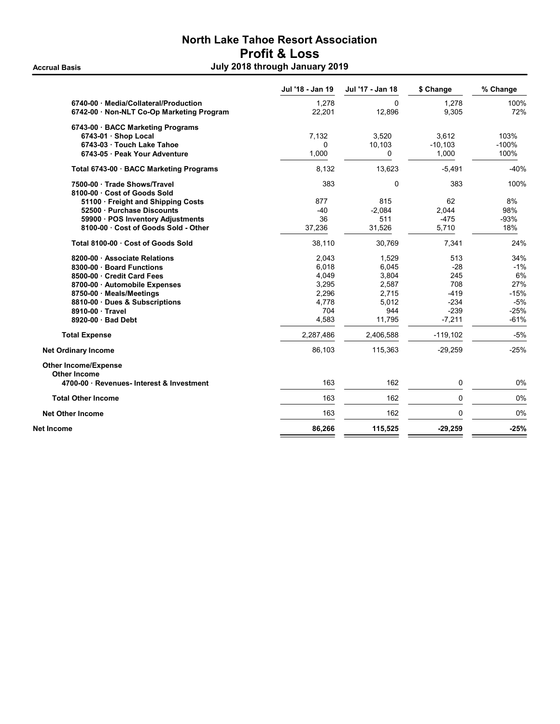## North Lake Tahoe Resort Association Profit & Loss Accrual Basis **Accrual Basis July 2018 through January 2019**

|                                                    | Jul '18 - Jan 19 | Jul '17 - Jan 18 | \$ Change  | % Change |
|----------------------------------------------------|------------------|------------------|------------|----------|
| 6740-00 Media/Collateral/Production                | 1,278            | $\Omega$         | 1,278      | 100%     |
| 6742-00 · Non-NLT Co-Op Marketing Program          | 22,201           | 12,896           | 9,305      | 72%      |
| 6743-00 · BACC Marketing Programs                  |                  |                  |            |          |
| 6743-01 · Shop Local                               | 7,132            | 3,520            | 3.612      | 103%     |
| 6743-03 Touch Lake Tahoe                           | 0                | 10,103           | $-10,103$  | $-100%$  |
| 6743-05 · Peak Your Adventure                      | 1,000            | $\mathbf{0}$     | 1,000      | 100%     |
| Total 6743-00 · BACC Marketing Programs            | 8,132            | 13,623           | $-5,491$   | $-40%$   |
| 7500-00 · Trade Shows/Travel                       | 383              | $\mathbf 0$      | 383        | 100%     |
| 8100-00 Cost of Goods Sold                         |                  |                  |            |          |
| 51100 Freight and Shipping Costs                   | 877              | 815              | 62         | 8%       |
| 52500 Purchase Discounts                           | $-40$            | $-2,084$         | 2,044      | 98%      |
| 59900 · POS Inventory Adjustments                  | 36               | 511              | $-475$     | $-93%$   |
| 8100-00 Cost of Goods Sold - Other                 | 37,236           | 31,526           | 5,710      | 18%      |
| Total 8100-00 Cost of Goods Sold                   | 38,110           | 30,769           | 7,341      | 24%      |
| 8200-00 Associate Relations                        | 2,043            | 1,529            | 513        | 34%      |
| 8300-00 Board Functions                            | 6,018            | 6,045            | $-28$      | $-1%$    |
| 8500-00 · Credit Card Fees                         | 4.049            | 3,804            | 245        | 6%       |
| 8700-00 · Automobile Expenses                      | 3,295            | 2,587            | 708        | 27%      |
| 8750-00 Meals/Meetings                             | 2,296            | 2,715            | $-419$     | $-15%$   |
| 8810-00 Dues & Subscriptions                       | 4,778            | 5,012            | $-234$     | $-5%$    |
| 8910-00 Travel                                     | 704              | 944              | $-239$     | $-25%$   |
| 8920-00 Bad Debt                                   | 4,583            | 11,795           | $-7,211$   | $-61%$   |
| <b>Total Expense</b>                               | 2,287,486        | 2,406,588        | $-119,102$ | $-5%$    |
| <b>Net Ordinary Income</b>                         | 86,103           | 115,363          | $-29,259$  | $-25%$   |
| <b>Other Income/Expense</b><br><b>Other Income</b> |                  |                  |            |          |
| 4700-00 · Revenues- Interest & Investment          | 163              | 162              | 0          | 0%       |
| <b>Total Other Income</b>                          | 163              | 162              | 0          | 0%       |
| <b>Net Other Income</b>                            | 163              | 162              | 0          | 0%       |
| Net Income                                         | 86,266           | 115,525          | $-29,259$  | $-25%$   |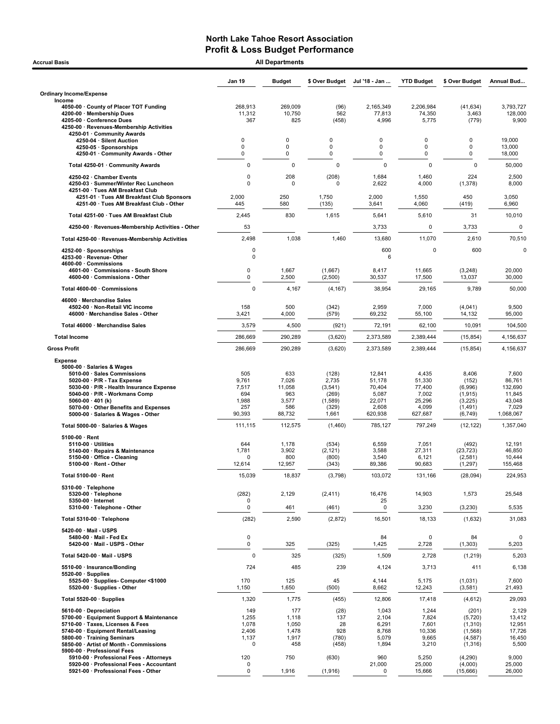| <b>All Departments</b><br><b>Accrual Basis</b>                                                                                                                                                                                                                                                        |                                                        |                                                         |                                                                 |                                                                   |                                                                  |                                                                          |                                                                      |  |  |
|-------------------------------------------------------------------------------------------------------------------------------------------------------------------------------------------------------------------------------------------------------------------------------------------------------|--------------------------------------------------------|---------------------------------------------------------|-----------------------------------------------------------------|-------------------------------------------------------------------|------------------------------------------------------------------|--------------------------------------------------------------------------|----------------------------------------------------------------------|--|--|
|                                                                                                                                                                                                                                                                                                       | Jan 19                                                 | <b>Budget</b>                                           | \$ Over Budget                                                  | Jul '18 - Jan                                                     | <b>YTD Budget</b>                                                | \$ Over Budget                                                           | Annual Bud                                                           |  |  |
| <b>Ordinary Income/Expense</b>                                                                                                                                                                                                                                                                        |                                                        |                                                         |                                                                 |                                                                   |                                                                  |                                                                          |                                                                      |  |  |
| Income<br>4050-00 County of Placer TOT Funding<br>4200-00 · Membership Dues<br>4205-00 · Conference Dues<br>4250-00 · Revenues-Membership Activities<br>4250-01 · Community Awards                                                                                                                    | 268,913<br>11,312<br>367                               | 269.009<br>10,750<br>825                                | (96)<br>562<br>(458)                                            | 2,165,349<br>77,813<br>4,996                                      | 2,206,984<br>74,350<br>5,775                                     | (41, 634)<br>3,463<br>(779)                                              | 3,793,727<br>128,000<br>9,900                                        |  |  |
| 4250-04 · Silent Auction<br>4250-05 · Sponsorships<br>4250-01 Community Awards - Other                                                                                                                                                                                                                | 0<br>$\mathbf 0$<br>0                                  | $\mathbf 0$<br>$\mathbf 0$<br>0                         | 0<br>$\mathbf 0$<br>0                                           | 0<br>0<br>$\mathbf 0$                                             | 0<br>0<br>0                                                      | 0<br>0<br>0                                                              | 19,000<br>13,000<br>18,000                                           |  |  |
| Total 4250-01 · Community Awards                                                                                                                                                                                                                                                                      | 0                                                      | 0                                                       | $\mathbf 0$                                                     | $\mathsf 0$                                                       | $\mathbf 0$                                                      | 0                                                                        | 50,000                                                               |  |  |
| 4250-02 · Chamber Events<br>4250-03 · Summer/Winter Rec Luncheon<br>4251-00 · Tues AM Breakfast Club                                                                                                                                                                                                  | 0<br>$\Omega$<br>2,000                                 | 208<br>$\mathbf 0$<br>250                               | (208)<br>0<br>1,750                                             | 1,684<br>2,622<br>2,000                                           | 1,460<br>4,000<br>1,550                                          | 224<br>(1, 378)<br>450                                                   | 2,500<br>8,000<br>3,050                                              |  |  |
| 4251-01 · Tues AM Breakfast Club Sponsors<br>4251-00 · Tues AM Breakfast Club - Other                                                                                                                                                                                                                 | 445                                                    | 580                                                     | (135)                                                           | 3,641                                                             | 4,060                                                            | (419)                                                                    | 6,960                                                                |  |  |
| Total 4251-00 · Tues AM Breakfast Club                                                                                                                                                                                                                                                                | 2,445                                                  | 830                                                     | 1,615                                                           | 5,641                                                             | 5,610                                                            | 31                                                                       | 10,010                                                               |  |  |
| 4250-00 · Revenues-Membership Activities - Other                                                                                                                                                                                                                                                      | 53                                                     |                                                         |                                                                 | 3,733                                                             | 0                                                                | 3,733                                                                    | 0                                                                    |  |  |
| Total 4250-00 · Revenues-Membership Activities                                                                                                                                                                                                                                                        | 2,498                                                  | 1,038                                                   | 1,460                                                           | 13,680                                                            | 11,070                                                           | 2,610                                                                    | 70,510                                                               |  |  |
| 4252-00 · Sponsorships<br>4253-00 · Revenue- Other<br>4600-00 Commissions                                                                                                                                                                                                                             | 0<br>$\mathbf 0$                                       |                                                         |                                                                 | 600<br>6                                                          | 0                                                                | 600                                                                      | 0                                                                    |  |  |
| 4601-00 Commissions - South Shore<br>4600-00 · Commissions - Other                                                                                                                                                                                                                                    | $\pmb{0}$<br>$\pmb{0}$                                 | 1,667<br>2,500                                          | (1,667)<br>(2,500)                                              | 8,417<br>30,537                                                   | 11,665<br>17,500                                                 | (3,248)<br>13,037                                                        | 20,000<br>30,000                                                     |  |  |
| Total 4600-00 · Commissions                                                                                                                                                                                                                                                                           | $\mathbf 0$                                            | 4,167                                                   | (4, 167)                                                        | 38,954                                                            | 29,165                                                           | 9,789                                                                    | 50,000                                                               |  |  |
| 46000 · Merchandise Sales<br>4502-00 · Non-Retail VIC income<br>46000 · Merchandise Sales - Other                                                                                                                                                                                                     | 158<br>3,421                                           | 500<br>4,000                                            | (342)<br>(579)                                                  | 2,959<br>69,232                                                   | 7,000<br>55,100                                                  | (4,041)<br>14,132                                                        | 9,500<br>95,000                                                      |  |  |
| Total 46000 · Merchandise Sales                                                                                                                                                                                                                                                                       | 3,579                                                  | 4,500                                                   | (921)                                                           | 72,191                                                            | 62,100                                                           | 10,091                                                                   | 104,500                                                              |  |  |
| <b>Total Income</b>                                                                                                                                                                                                                                                                                   | 286,669                                                | 290,289                                                 | (3,620)                                                         | 2,373,589                                                         | 2,389,444                                                        | (15, 854)                                                                | 4,156,637                                                            |  |  |
| <b>Gross Profit</b>                                                                                                                                                                                                                                                                                   | 286,669                                                | 290,289                                                 | (3,620)                                                         | 2,373,589                                                         | 2,389,444                                                        | (15, 854)                                                                | 4,156,637                                                            |  |  |
| <b>Expense</b><br>5000-00 · Salaries & Wages<br>5010-00 · Sales Commissions<br>5020-00 $\cdot$ P/R - Tax Expense<br>5030-00 · P/R - Health Insurance Expense<br>5040-00 · P/R - Workmans Comp<br>5060-00 $\cdot$ 401 (k)<br>5070-00 Other Benefits and Expenses<br>5000-00 · Salaries & Wages - Other | 505<br>9,761<br>7,517<br>694<br>1,988<br>257<br>90,393 | 633<br>7,026<br>11,058<br>963<br>3,577<br>586<br>88,732 | (128)<br>2,735<br>(3,541)<br>(269)<br>(1,589)<br>(329)<br>1,661 | 12,841<br>51,178<br>70,404<br>5,087<br>22,071<br>2,608<br>620,938 | 4,435<br>51,330<br>77,400<br>7,002<br>25,296<br>4,099<br>627,687 | 8,406<br>(152)<br>(6,996)<br>(1, 915)<br>(3, 225)<br>(1,491)<br>(6, 749) | 7,600<br>86,761<br>132,690<br>11,845<br>43,048<br>7,029<br>1,068,067 |  |  |
| Total 5000-00 · Salaries & Wages                                                                                                                                                                                                                                                                      | 111,115                                                | 112,575                                                 | (1,460)                                                         | 785,127                                                           | 797,249                                                          | (12, 122)                                                                | 1,357,040                                                            |  |  |
| $5100-00 \cdot$ Rent<br>$5110-00 \cdot$ Utilities<br>5140-00 · Repairs & Maintenance<br>5150-00 · Office - Cleaning<br>5100-00 · Rent - Other<br>Total 5100-00 · Rent                                                                                                                                 | 644<br>1,781<br>0<br>12,614                            | 1,178<br>3,902<br>800<br>12,957                         | (534)<br>(2, 121)<br>(800)<br>(343)                             | 6,559<br>3,588<br>3,540<br>89,386                                 | 7,051<br>27,311<br>6,121<br>90,683                               | (492)<br>(23, 723)<br>(2, 581)<br>(1, 297)                               | 12,191<br>46,850<br>10,444<br>155,468                                |  |  |
| 5310-00 · Telephone                                                                                                                                                                                                                                                                                   | 15,039                                                 | 18,837                                                  | (3,798)                                                         | 103,072                                                           | 131,166                                                          | (28, 094)                                                                | 224,953                                                              |  |  |
| 5320-00 · Telephone<br>5350-00 · Internet<br>5310-00 · Telephone - Other                                                                                                                                                                                                                              | (282)<br>0<br>0                                        | 2,129<br>461                                            | (2, 411)<br>(461)                                               | 16,476<br>25<br>0                                                 | 14,903<br>3,230                                                  | 1,573<br>(3,230)                                                         | 25,548<br>5,535                                                      |  |  |
| Total 5310-00 · Telephone                                                                                                                                                                                                                                                                             | (282)                                                  | 2,590                                                   | (2,872)                                                         | 16,501                                                            | 18,133                                                           | (1,632)                                                                  | 31,083                                                               |  |  |
| 5420-00 · Mail - USPS<br>5480-00 · Mail - Fed Ex<br>5420-00 · Mail - USPS - Other                                                                                                                                                                                                                     | $\pmb{0}$<br>$\pmb{0}$                                 | 325                                                     | (325)                                                           | 84<br>1,425                                                       | 0<br>2,728                                                       | 84<br>(1,303)                                                            | 0<br>5,203                                                           |  |  |
| Total 5420-00 · Mail - USPS                                                                                                                                                                                                                                                                           | 0                                                      | 325                                                     | (325)                                                           | 1,509                                                             | 2,728                                                            | (1,219)                                                                  | 5,203                                                                |  |  |
| 5510-00 · Insurance/Bonding                                                                                                                                                                                                                                                                           | 724                                                    | 485                                                     | 239                                                             | 4,124                                                             | 3,713                                                            | 411                                                                      | 6,138                                                                |  |  |
| $5520-00 \cdot$ Supplies<br>5525-00 · Supplies- Computer <\$1000<br>5520-00 · Supplies - Other                                                                                                                                                                                                        | 170<br>1,150                                           | 125<br>1,650                                            | 45<br>(500)                                                     | 4,144<br>8,662                                                    | 5,175<br>12,243                                                  | (1,031)<br>(3,581)                                                       | 7,600<br>21,493                                                      |  |  |
| Total 5520-00 · Supplies                                                                                                                                                                                                                                                                              | 1,320                                                  | 1,775                                                   | (455)                                                           | 12,806                                                            | 17,418                                                           | (4,612)                                                                  | 29,093                                                               |  |  |
| 5610-00 · Depreciation<br>5700-00 · Equipment Support & Maintenance<br>5710-00 · Taxes, Licenses & Fees<br>5740-00 · Equipment Rental/Leasing<br>5800-00 · Training Seminars<br>5850-00 · Artist of Month - Commissions                                                                               | 149<br>1,255<br>1,078<br>2,406<br>1,137<br>0           | 177<br>1,118<br>1,050<br>1,478<br>1,917<br>458          | (28)<br>137<br>28<br>928<br>(780)<br>(458)                      | 1,043<br>2,104<br>6,291<br>8,768<br>5,079<br>1,894                | 1,244<br>7,824<br>7,601<br>10,336<br>9,665<br>3,210              | (201)<br>(5, 720)<br>(1, 310)<br>(1, 568)<br>(4, 587)<br>(1,316)         | 2,129<br>13,412<br>12,951<br>17,726<br>16,450<br>5,500               |  |  |
| 5900-00 · Professional Fees<br>5910-00 · Professional Fees - Attorneys<br>5920-00 · Professional Fees - Accountant<br>5921-00 · Professional Fees - Other                                                                                                                                             | 120<br>0<br>$\pmb{0}$                                  | 750<br>1,916                                            | (630)<br>(1, 916)                                               | 960<br>21,000<br>0                                                | 5,250<br>25,000<br>15,666                                        | (4,290)<br>(4,000)<br>(15,666)                                           | 9,000<br>25,000<br>26,000                                            |  |  |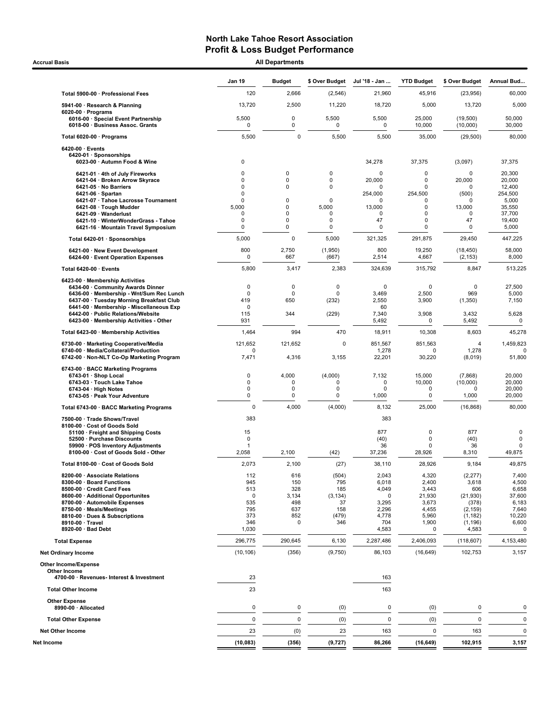Accrual Basis **Accrual Basis All Departments** 

|                                                                                                                                                                                                                                                                                              | <b>Jan 19</b>                                                                                                    | <b>Budget</b>                                        | \$ Over Budget                                               | Jul '18 - Jan                                                                  | <b>YTD Budget</b>                                                          | \$ Over Budget                                                                              | Annual Bud                                                                            |
|----------------------------------------------------------------------------------------------------------------------------------------------------------------------------------------------------------------------------------------------------------------------------------------------|------------------------------------------------------------------------------------------------------------------|------------------------------------------------------|--------------------------------------------------------------|--------------------------------------------------------------------------------|----------------------------------------------------------------------------|---------------------------------------------------------------------------------------------|---------------------------------------------------------------------------------------|
| Total 5900-00 · Professional Fees                                                                                                                                                                                                                                                            | 120                                                                                                              | 2,666                                                | (2, 546)                                                     | 21,960                                                                         | 45,916                                                                     | (23, 956)                                                                                   | 60,000                                                                                |
| 5941-00 · Research & Planning                                                                                                                                                                                                                                                                | 13,720                                                                                                           | 2,500                                                | 11,220                                                       | 18,720                                                                         | 5,000                                                                      | 13,720                                                                                      | 5,000                                                                                 |
| $6020-00 \cdot$ Programs<br>6016-00 · Special Event Partnership<br>6018-00 · Business Assoc. Grants                                                                                                                                                                                          | 5,500<br>0                                                                                                       | 0<br>0                                               | 5,500<br>$\mathbf 0$                                         | 5,500<br>0                                                                     | 25,000<br>10,000                                                           | (19,500)<br>(10,000)                                                                        | 50,000<br>30,000                                                                      |
| Total 6020-00 · Programs                                                                                                                                                                                                                                                                     | 5,500                                                                                                            | $\mathbf 0$                                          | 5,500                                                        | 5,500                                                                          | 35,000                                                                     | (29, 500)                                                                                   | 80,000                                                                                |
| 6420-00 · Events<br>6420-01 · Sponsorships<br>6023-00 · Autumn Food & Wine                                                                                                                                                                                                                   | $\mathbf 0$                                                                                                      |                                                      |                                                              | 34,278                                                                         | 37,375                                                                     | (3,097)                                                                                     | 37,375                                                                                |
| 6421-01 · 4th of July Fireworks<br>6421-04 · Broken Arrow Skyrace<br>6421-05 · No Barriers<br>$6421-06 \cdot$ Spartan<br>6421-07 · Tahoe Lacrosse Tournament<br>6421-08 · Tough Mudder<br>6421-09 · Wanderlust<br>6421-10 · WinterWonderGrass - Tahoe<br>6421-16 · Mountain Travel Symposium | $\mathbf 0$<br>$\mathbf 0$<br>$\Omega$<br>$\mathbf 0$<br>$\mathbf 0$<br>5,000<br>$\mathbf 0$<br>$\mathbf 0$<br>0 | 0<br>0<br>0<br>0<br>0<br>0<br>0<br>0                 | 0<br>0<br>0<br>$\Omega$<br>5,000<br>$\Omega$<br>0<br>0       | $\mathbf 0$<br>20,000<br>O<br>254,000<br>0<br>13,000<br>0<br>47<br>$\mathbf 0$ | 0<br>0<br>0<br>254,500<br>0<br>0<br>0<br>0<br>0                            | $\mathbf 0$<br>20,000<br>O<br>(500)<br>O<br>13,000<br>0<br>47<br>0                          | 20,300<br>20,000<br>12,400<br>254,500<br>5,000<br>35,550<br>37,700<br>19,400<br>5,000 |
| Total 6420-01 · Sponsorships                                                                                                                                                                                                                                                                 | 5,000                                                                                                            | $\mathbf 0$                                          | 5,000                                                        | 321,325                                                                        | 291,875                                                                    | 29,450                                                                                      | 447,225                                                                               |
| 6421-00 · New Event Development<br>6424-00 · Event Operation Expenses                                                                                                                                                                                                                        | 800<br>0                                                                                                         | 2,750<br>667                                         | (1,950)<br>(667)                                             | 800<br>2,514                                                                   | 19,250<br>4,667                                                            | (18, 450)<br>(2, 153)                                                                       | 58,000<br>8,000                                                                       |
| Total 6420-00 · Events                                                                                                                                                                                                                                                                       | 5,800                                                                                                            | 3,417                                                | 2,383                                                        | 324,639                                                                        | 315,792                                                                    | 8,847                                                                                       | 513,225                                                                               |
| 6423-00 · Membership Activities<br>6434-00 Community Awards Dinner<br>6436-00 · Membership - Wnt/Sum Rec Lunch<br>6437-00 · Tuesday Morning Breakfast Club<br>6441-00 · Membership - Miscellaneous Exp<br>6442-00 · Public Relations/Website<br>6423-00 · Membership Activities - Other      | 0<br>0<br>419<br>0<br>115<br>931                                                                                 | 0<br>0<br>650<br>344                                 | 0<br>$\mathbf 0$<br>(232)<br>(229)                           | $\mathbf 0$<br>3,469<br>2,550<br>60<br>7,340<br>5,492                          | $\mathbf 0$<br>2,500<br>3,900<br>3,908<br>0                                | 0<br>969<br>(1, 350)<br>3,432<br>5,492                                                      | 27,500<br>5,000<br>7,150<br>5,628<br>0                                                |
| Total 6423-00 · Membership Activities                                                                                                                                                                                                                                                        | 1,464                                                                                                            | 994                                                  | 470                                                          | 18,911                                                                         | 10,308                                                                     | 8,603                                                                                       | 45,278                                                                                |
| 6730-00 · Marketing Cooperative/Media<br>6740-00 · Media/Collateral/Production<br>6742-00 · Non-NLT Co-Op Marketing Program                                                                                                                                                                  | 121,652<br>7,471                                                                                                 | 121,652<br>4,316                                     | 0<br>3,155                                                   | 851,567<br>1,278<br>22,201                                                     | 851,563<br>0<br>30,220                                                     | 4<br>1,278<br>(8,019)                                                                       | 1,459,823<br>51,800                                                                   |
| 6743-00 · BACC Marketing Programs<br>6743-01 · Shop Local<br>6743-03 · Touch Lake Tahoe<br>6743-04 · High Notes<br>6743-05 · Peak Your Adventure                                                                                                                                             | $\mathbf 0$<br>0<br>0<br>0                                                                                       | 4,000<br>$\Omega$<br>0<br>0                          | (4,000)<br>0<br>0<br>$\mathbf 0$                             | 7,132<br>$\mathbf 0$<br>0<br>1,000                                             | 15,000<br>10,000<br>0<br>$\mathbf 0$                                       | (7,868)<br>(10,000)<br>0<br>1,000                                                           | 20,000<br>20,000<br>20,000<br>20,000                                                  |
| Total 6743-00 · BACC Marketing Programs                                                                                                                                                                                                                                                      | $\Omega$                                                                                                         | 4,000                                                | (4,000)                                                      | 8,132                                                                          | 25,000                                                                     | (16, 868)                                                                                   | 80,000                                                                                |
| 7500-00 · Trade Shows/Travel<br>8100-00 · Cost of Goods Sold<br>51100 · Freight and Shipping Costs<br>52500 · Purchase Discounts<br>59900 · POS Inventory Adjustments<br>8100-00 · Cost of Goods Sold - Other                                                                                | 383<br>15<br>0<br>1<br>2,058                                                                                     | 2,100                                                | (42)                                                         | 383<br>877<br>(40)<br>36<br>37,236                                             | $\mathbf 0$<br>$\mathbf 0$<br>$\mathbf 0$<br>28,926                        | 877<br>(40)<br>36<br>8,310                                                                  | 0<br>$\mathbf 0$<br>0<br>49,875                                                       |
| Total 8100-00 · Cost of Goods Sold                                                                                                                                                                                                                                                           | 2,073                                                                                                            | 2,100                                                | (27)                                                         | 38,110                                                                         | 28,926                                                                     | 9,184                                                                                       | 49,875                                                                                |
| 8200-00 · Associate Relations<br>8300-00 · Board Functions<br>8500-00 · Credit Card Fees<br>8600-00 · Additional Opportunites<br>8700-00 · Automobile Expenses<br>8750-00 · Meals/Meetings<br>8810-00 · Dues & Subscriptions<br>8910-00 · Travel<br>8920-00 · Bad Debt                       | 112<br>945<br>513<br>$\mathbf 0$<br>535<br>795<br>373<br>346<br>1,030                                            | 616<br>150<br>328<br>3,134<br>498<br>637<br>852<br>0 | (504)<br>795<br>185<br>(3, 134)<br>37<br>158<br>(479)<br>346 | 2.043<br>6,018<br>4,049<br>0<br>3,295<br>2,296<br>4,778<br>704<br>4,583        | 4,320<br>2,400<br>3,443<br>21,930<br>3,673<br>4,455<br>5,960<br>1,900<br>0 | (2, 277)<br>3,618<br>606<br>(21, 930)<br>(378)<br>(2, 159)<br>(1, 182)<br>(1, 196)<br>4,583 | 7,400<br>4,500<br>6,658<br>37,600<br>6,183<br>7,640<br>10,220<br>6,600<br>0           |
| <b>Total Expense</b>                                                                                                                                                                                                                                                                         | 296,775                                                                                                          | 290,645                                              | 6,130                                                        | 2,287,486                                                                      | 2,406,093                                                                  | (118, 607)                                                                                  | 4,153,480                                                                             |
| <b>Net Ordinary Income</b>                                                                                                                                                                                                                                                                   | (10, 106)                                                                                                        | (356)                                                | (9,750)                                                      | 86,103                                                                         | (16, 649)                                                                  | 102,753                                                                                     | 3,157                                                                                 |
| <b>Other Income/Expense</b><br>Other Income<br>4700-00 · Revenues- Interest & Investment                                                                                                                                                                                                     | 23                                                                                                               |                                                      |                                                              | 163                                                                            |                                                                            |                                                                                             |                                                                                       |
| <b>Total Other Income</b>                                                                                                                                                                                                                                                                    | 23                                                                                                               |                                                      |                                                              | 163                                                                            |                                                                            |                                                                                             |                                                                                       |
| <b>Other Expense</b><br>8990-00 · Allocated                                                                                                                                                                                                                                                  | 0                                                                                                                | 0                                                    | (0)                                                          | 0                                                                              | (0)                                                                        | 0                                                                                           | 0                                                                                     |
| <b>Total Other Expense</b>                                                                                                                                                                                                                                                                   | $\mathbf 0$                                                                                                      | $\mathbf 0$                                          | (0)                                                          | $\mathbf 0$                                                                    | (0)                                                                        | $\pmb{0}$                                                                                   | $\mathbf 0$                                                                           |
| <b>Net Other Income</b>                                                                                                                                                                                                                                                                      | 23                                                                                                               | (0)                                                  | 23                                                           | 163                                                                            | $\mathbf 0$                                                                | 163                                                                                         | $\mathbf{0}$                                                                          |
| Net Income                                                                                                                                                                                                                                                                                   | (10, 083)                                                                                                        | (356)                                                | (9, 727)                                                     | 86,266                                                                         | (16, 649)                                                                  | 102,915                                                                                     | 3,157                                                                                 |
|                                                                                                                                                                                                                                                                                              |                                                                                                                  |                                                      |                                                              |                                                                                |                                                                            |                                                                                             |                                                                                       |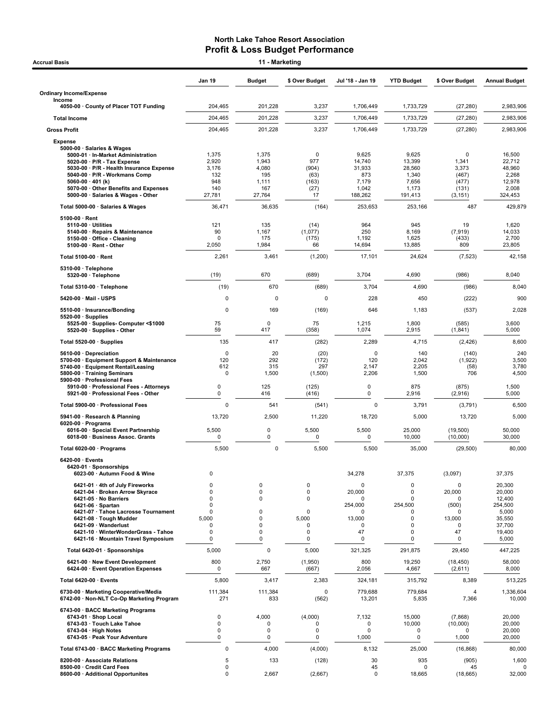| 11 - Marketing<br><b>Accrual Basis</b>                                                                                                                                             |                                |                                |                                |                                  |                                    |                                        |                                     |  |  |
|------------------------------------------------------------------------------------------------------------------------------------------------------------------------------------|--------------------------------|--------------------------------|--------------------------------|----------------------------------|------------------------------------|----------------------------------------|-------------------------------------|--|--|
|                                                                                                                                                                                    | Jan 19                         | <b>Budget</b>                  | \$ Over Budget                 | Jul '18 - Jan 19                 | <b>YTD Budget</b>                  | \$ Over Budget                         | <b>Annual Budget</b>                |  |  |
| <b>Ordinary Income/Expense</b>                                                                                                                                                     |                                |                                |                                |                                  |                                    |                                        |                                     |  |  |
| Income<br>4050-00 County of Placer TOT Funding                                                                                                                                     | 204,465                        | 201,228                        | 3,237                          | 1,706,449                        | 1,733,729                          | (27, 280)                              | 2,983,906                           |  |  |
| <b>Total Income</b>                                                                                                                                                                | 204,465                        | 201,228                        | 3,237                          | 1,706,449                        | 1,733,729                          | (27, 280)                              | 2,983,906                           |  |  |
| <b>Gross Profit</b>                                                                                                                                                                | 204,465                        | 201,228                        | 3,237                          | 1,706,449                        | 1,733,729                          | (27, 280)                              | 2,983,906                           |  |  |
| <b>Expense</b>                                                                                                                                                                     |                                |                                |                                |                                  |                                    |                                        |                                     |  |  |
| 5000-00 · Salaries & Wages<br>5000-01 · In-Market Administration<br>$5020-00 \cdot P/R$ - Tax Expense<br>5030-00 · P/R - Health Insurance Expense<br>5040-00 · P/R - Workmans Comp | 1,375<br>2,920<br>3,176<br>132 | 1,375<br>1,943<br>4,080<br>195 | 0<br>977<br>(904)<br>(63)      | 9,625<br>14,740<br>31,933<br>873 | 9,625<br>13,399<br>28,560<br>1,340 | $\mathbf 0$<br>1,341<br>3,373<br>(467) | 16,500<br>22,712<br>48,960<br>2,268 |  |  |
| $5060-00 \cdot 401$ (k)<br>5070-00 Other Benefits and Expenses<br>5000-00 · Salaries & Wages - Other                                                                               | 948<br>140<br>27,781           | 1,111<br>167<br>27,764         | (163)<br>(27)<br>17            | 7,179<br>1,042<br>188,262        | 7,656<br>1,173<br>191,413          | (477)<br>(131)<br>(3, 151)             | 12,978<br>2,008<br>324,453          |  |  |
| Total 5000-00 · Salaries & Wages                                                                                                                                                   | 36,471                         | 36,635                         | (164)                          | 253,653                          | 253,166                            | 487                                    | 429,879                             |  |  |
| $5100-00 \cdot$ Rent                                                                                                                                                               |                                |                                |                                |                                  |                                    |                                        |                                     |  |  |
| $5110-00 \cdot$ Utilities<br>5140-00 · Repairs & Maintenance<br>5150-00 · Office - Cleaning<br>5100-00 · Rent - Other                                                              | 121<br>90<br>$\Omega$<br>2,050 | 135<br>1,167<br>175<br>1,984   | (14)<br>(1,077)<br>(175)<br>66 | 964<br>250<br>1,192<br>14,694    | 945<br>8,169<br>1,625<br>13,885    | 19<br>(7, 919)<br>(433)<br>809         | 1,620<br>14,033<br>2,700<br>23,805  |  |  |
| Total 5100-00 · Rent                                                                                                                                                               | 2,261                          | 3,461                          | (1,200)                        | 17,101                           | 24,624                             | (7, 523)                               | 42,158                              |  |  |
| 5310-00 · Telephone<br>$5320-00 \cdot$ Telephone                                                                                                                                   | (19)                           | 670                            | (689)                          | 3,704                            | 4,690                              | (986)                                  | 8,040                               |  |  |
| Total 5310-00 · Telephone                                                                                                                                                          | (19)                           | 670                            | (689)                          | 3,704                            | 4,690                              | (986)                                  | 8,040                               |  |  |
| 5420-00 · Mail - USPS                                                                                                                                                              | 0                              | 0                              | 0                              | 228                              | 450                                | (222)                                  | 900                                 |  |  |
| 5510-00 · Insurance/Bonding                                                                                                                                                        | $\mathbf 0$                    | 169                            | (169)                          | 646                              | 1,183                              | (537)                                  | 2,028                               |  |  |
| $5520-00 \cdot$ Supplies<br>5525-00 · Supplies- Computer <\$1000<br>5520-00 · Supplies - Other                                                                                     | 75<br>59                       | $\Omega$<br>417                | 75<br>(358)                    | 1,215<br>1,074                   | 1,800<br>2,915                     | (585)<br>(1, 841)                      | 3,600<br>5,000                      |  |  |
| Total 5520-00 · Supplies                                                                                                                                                           | 135                            | 417                            | (282)                          | 2,289                            | 4,715                              | (2, 426)                               | 8,600                               |  |  |
| 5610-00 · Depreciation<br>5700-00 · Equipment Support & Maintenance                                                                                                                | $\mathbf 0$<br>120             | 20<br>292                      | (20)<br>(172)                  | $\mathbf 0$<br>120               | 140<br>2,042                       | (140)<br>(1,922)                       | 240<br>3,500                        |  |  |
| 5740-00 · Equipment Rental/Leasing<br>5800-00 · Training Seminars<br>5900-00 · Professional Fees                                                                                   | 612<br>0                       | 315<br>1,500                   | 297<br>(1,500)                 | 2,147<br>2,206                   | 2,205<br>1,500                     | (58)<br>706                            | 3,780<br>4,500                      |  |  |
| 5910-00 · Professional Fees - Attorneys<br>5921-00 · Professional Fees - Other                                                                                                     | 0<br>0                         | 125<br>416                     | (125)<br>(416)                 | $\pmb{0}$<br>0                   | 875<br>2,916                       | (875)<br>(2,916)                       | 1,500<br>5,000                      |  |  |
| Total 5900-00 · Professional Fees                                                                                                                                                  | $\mathbf 0$                    | 541                            | (541)                          | $\mathbf 0$                      | 3,791                              | (3,791)                                | 6,500                               |  |  |
| 5941-00 · Research & Planning<br>$6020-00 \cdot$ Programs                                                                                                                          | 13,720                         | 2,500                          | 11,220                         | 18,720                           | 5,000                              | 13,720                                 | 5,000                               |  |  |
| 6016-00 · Special Event Partnership<br>6018-00 · Business Assoc. Grants                                                                                                            | 5,500<br>0                     | $\mathbf 0$<br>0               | 5,500<br>0                     | 5,500<br>0                       | 25,000<br>10,000                   | (19, 500)<br>(10,000)                  | 50,000<br>30,000                    |  |  |
| Total 6020-00 · Programs                                                                                                                                                           | 5,500                          | 0                              | 5,500                          | 5,500                            | 35,000                             | (29, 500)                              | 80,000                              |  |  |
| $6420-00$ · Events<br>6420-01 · Sponsorships<br>6023-00 · Autumn Food & Wine                                                                                                       | $\mathbf 0$                    |                                |                                | 34,278                           | 37,375                             | (3,097)                                | 37,375                              |  |  |
| 6421-01 · 4th of July Fireworks                                                                                                                                                    | 0                              | 0                              | $\mathbf 0$                    | 0                                | 0                                  | 0                                      | 20,300                              |  |  |
| 6421-04 · Broken Arrow Skyrace<br>6421-05 · No Barriers                                                                                                                            | 0<br>$\mathbf 0$               | 0<br>$\mathbf 0$               | $\mathbf 0$<br>0               | 20,000<br>0                      | 0<br>0                             | 20,000<br>0                            | 20,000<br>12,400                    |  |  |
| $6421-06 \cdot$ Spartan                                                                                                                                                            | $\mathbf 0$                    |                                |                                | 254,000                          | 254,500                            | (500)                                  | 254,500                             |  |  |
| 6421-07 · Tahoe Lacrosse Tournament<br>6421-08 · Tough Mudder                                                                                                                      | 0<br>5,000                     | 0<br>$\pmb{0}$                 | 0<br>5,000                     | 0<br>13,000                      | 0<br>$\mathbf 0$                   | 0<br>13,000                            | 5,000<br>35,550                     |  |  |
| 6421-09 · Wanderlust<br>6421-10 · WinterWonderGrass - Tahoe                                                                                                                        | 0<br>0                         | $\pmb{0}$<br>$\pmb{0}$         | 0<br>$\mathbf 0$               | 0<br>47                          | $\pmb{0}$<br>0                     | 0<br>47                                | 37,700<br>19,400                    |  |  |
| 6421-16 · Mountain Travel Symposium                                                                                                                                                | 0                              | $\pmb{0}$                      | 0                              | 0                                | 0                                  | 0                                      | 5,000                               |  |  |
| Total 6420-01 · Sponsorships                                                                                                                                                       | 5,000                          | $\pmb{0}$                      | 5,000                          | 321,325                          | 291,875                            | 29,450                                 | 447,225                             |  |  |
| 6421-00 · New Event Development<br>6424-00 · Event Operation Expenses                                                                                                              | 800<br>0                       | 2,750<br>667                   | (1,950)<br>(667)               | 800<br>2,056                     | 19,250<br>4,667                    | (18, 450)<br>(2,611)                   | 58,000<br>8,000                     |  |  |
| Total 6420-00 · Events                                                                                                                                                             | 5,800                          | 3,417                          | 2,383                          | 324,181                          | 315,792                            | 8,389                                  | 513,225                             |  |  |
| 6730-00 · Marketing Cooperative/Media<br>6742-00 · Non-NLT Co-Op Marketing Program                                                                                                 | 111,384<br>271                 | 111,384<br>833                 | 0<br>(562)                     | 779,688<br>13,201                | 779,684<br>5,835                   | 4<br>7,366                             | 1,336,604<br>10,000                 |  |  |
| 6743-00 · BACC Marketing Programs<br>6743-01 · Shop Local<br>6743-03 · Touch Lake Tahoe                                                                                            | 0<br>0                         | 4,000<br>0                     | (4,000)<br>$\Omega$            | 7,132<br>0                       | 15,000<br>10,000                   | (7,868)<br>(10,000)                    | 20,000<br>20,000                    |  |  |
| 6743-04 · High Notes<br>6743-05 · Peak Your Adventure                                                                                                                              | 0<br>0                         | 0<br>0                         | $\mathbf 0$<br>0               | $\mathbf 0$<br>1,000             | 0<br>0                             | $\Omega$<br>1,000                      | 20,000<br>20,000                    |  |  |
| Total 6743-00 · BACC Marketing Programs                                                                                                                                            | $\mathbf 0$                    | 4,000                          | (4,000)                        | 8,132                            | 25,000                             | (16, 868)                              | 80,000                              |  |  |
| 8200-00 · Associate Relations                                                                                                                                                      | 5                              | 133                            | (128)                          | 30                               | 935                                | (905)                                  | 1,600                               |  |  |
| 8500-00 · Credit Card Fees<br>8600-00 · Additional Opportunites                                                                                                                    | 0<br>0                         | 2,667                          | (2,667)                        | 45<br>0                          | 0<br>18,665                        | 45<br>(18, 665)                        | O<br>32,000                         |  |  |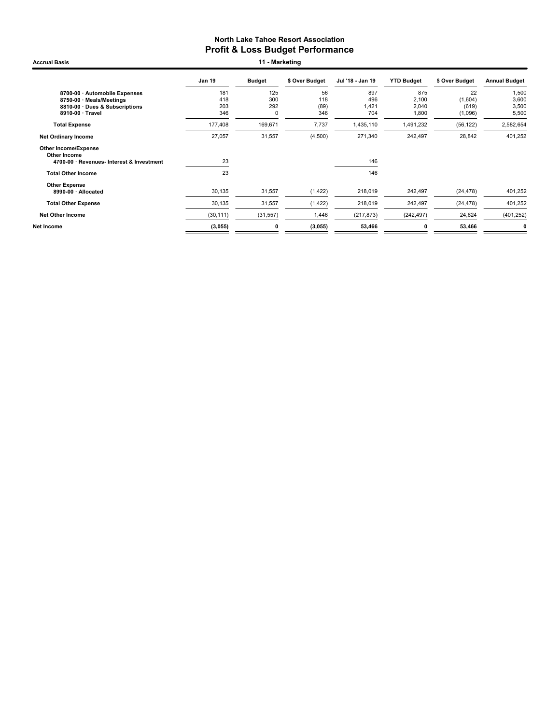Accrual Basis **11 - Marketing** 

|                                             | Jan 19    | <b>Budget</b> | \$ Over Budget | Jul '18 - Jan 19 | <b>YTD Budget</b> | \$ Over Budget | <b>Annual Budget</b> |
|---------------------------------------------|-----------|---------------|----------------|------------------|-------------------|----------------|----------------------|
| 8700-00 · Automobile Expenses               | 181       | 125           | 56             | 897              | 875               | 22             | 1,500                |
| 8750-00 · Meals/Meetings                    | 418       | 300           | 118            | 496              | 2,100             | (1,604)        | 3,600                |
| 8810-00 Dues & Subscriptions                | 203       | 292           | (89)           | 1,421            | 2,040             | (619)          | 3,500                |
| 8910-00 · Travel                            | 346       | 0             | 346            | 704              | 1,800             | (1,096)        | 5,500                |
| <b>Total Expense</b>                        | 177,408   | 169,671       | 7,737          | 1,435,110        | 1,491,232         | (56, 122)      | 2,582,654            |
| <b>Net Ordinary Income</b>                  | 27,057    | 31,557        | (4,500)        | 271,340          | 242,497           | 28,842         | 401,252              |
| <b>Other Income/Expense</b><br>Other Income |           |               |                |                  |                   |                |                      |
| 4700-00 · Revenues- Interest & Investment   | 23        |               |                | 146              |                   |                |                      |
| <b>Total Other Income</b>                   | 23        |               |                | 146              |                   |                |                      |
| <b>Other Expense</b>                        |           |               |                |                  |                   |                |                      |
| 8990-00 · Allocated                         | 30,135    | 31,557        | (1, 422)       | 218,019          | 242,497           | (24, 478)      | 401,252              |
| <b>Total Other Expense</b>                  | 30,135    | 31,557        | (1, 422)       | 218,019          | 242,497           | (24, 478)      | 401,252              |
| <b>Net Other Income</b>                     | (30, 111) | (31, 557)     | 1,446          | (217, 873)       | (242, 497)        | 24,624         | (401, 252)           |
| Net Income                                  | (3,055)   | 0             | (3,055)        | 53,466           | 0                 | 53,466         | 0                    |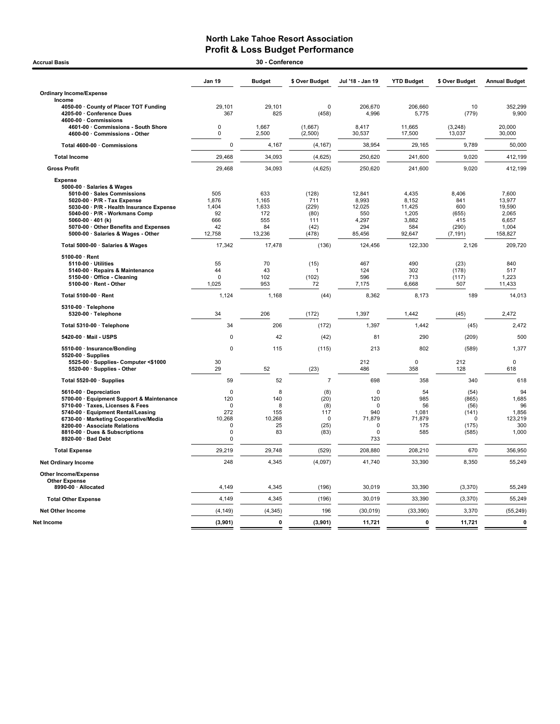| <b>Accrual Basis</b>                                             |                         | 30 - Conference |                |                  |                   |                |                      |
|------------------------------------------------------------------|-------------------------|-----------------|----------------|------------------|-------------------|----------------|----------------------|
|                                                                  | Jan 19                  | <b>Budget</b>   | \$ Over Budget | Jul '18 - Jan 19 | <b>YTD Budget</b> | \$ Over Budget | <b>Annual Budget</b> |
| <b>Ordinary Income/Expense</b>                                   |                         |                 |                |                  |                   |                |                      |
| Income                                                           |                         |                 |                |                  |                   |                |                      |
| 4050-00 · County of Placer TOT Funding                           | 29,101                  | 29,101          | $\Omega$       | 206,670          | 206,660           | 10             | 352,299              |
| 4205-00 · Conference Dues                                        | 367                     | 825             | (458)          | 4,996            | 5,775             | (779)          | 9,900                |
| 4600-00 · Commissions                                            |                         |                 |                |                  |                   |                |                      |
| 4601-00 Commissions - South Shore                                | 0<br>0                  | 1,667           | (1,667)        | 8,417            | 11,665            | (3, 248)       | 20,000               |
| 4600-00 Commissions - Other                                      |                         | 2,500           | (2,500)        | 30,537           | 17,500            | 13,037         | 30,000               |
| Total 4600-00 · Commissions                                      | 0                       | 4,167           | (4, 167)       | 38,954           | 29,165            | 9,789          | 50,000               |
| <b>Total Income</b>                                              | 29,468                  | 34,093          | (4,625)        | 250,620          | 241,600           | 9,020          | 412,199              |
| <b>Gross Profit</b>                                              | 29,468                  | 34,093          | (4,625)        | 250,620          | 241,600           | 9,020          | 412,199              |
| <b>Expense</b>                                                   |                         |                 |                |                  |                   |                |                      |
| 5000-00 · Salaries & Wages                                       |                         |                 |                |                  |                   |                |                      |
| 5010-00 · Sales Commissions                                      | 505                     | 633             | (128)          | 12.841           | 4.435             | 8.406          | 7.600                |
| 5020-00 · P/R - Tax Expense                                      | 1,876                   | 1,165           | 711            | 8,993            | 8,152             | 841            | 13,977               |
| 5030-00 · P/R - Health Insurance Expense                         | 1,404                   | 1,633           | (229)          | 12,025           | 11,425            | 600            | 19,590               |
| 5040-00 · P/R - Workmans Comp                                    | 92                      | 172             | (80)           | 550              | 1,205             | (655)          | 2,065                |
| 5060-00 $\cdot$ 401 (k)<br>5070-00 · Other Benefits and Expenses | 666<br>42               | 555<br>84       | 111<br>(42)    | 4,297<br>294     | 3,882<br>584      | 415<br>(290)   | 6,657<br>1,004       |
| 5000-00 · Salaries & Wages - Other                               | 12,758                  | 13,236          | (478)          | 85,456           | 92,647            | (7, 191)       | 158,827              |
|                                                                  |                         |                 |                |                  |                   |                |                      |
| Total 5000-00 · Salaries & Wages                                 | 17,342                  | 17,478          | (136)          | 124,456          | 122,330           | 2,126          | 209,720              |
| $5100-00 \cdot$ Rent                                             |                         |                 |                |                  |                   |                |                      |
| 5110-00 · Utilities                                              | 55                      | 70              | (15)           | 467              | 490               | (23)           | 840                  |
| 5140-00 · Repairs & Maintenance<br>5150-00 Office - Cleaning     | 44<br>$\mathbf 0$       | 43<br>102       | (102)          | 124<br>596       | 302<br>713        | (178)<br>(117) | 517<br>1,223         |
| 5100-00 · Rent - Other                                           | 1,025                   | 953             | 72             | 7,175            | 6,668             | 507            | 11,433               |
|                                                                  |                         |                 |                |                  |                   |                |                      |
| Total 5100-00 · Rent                                             | 1,124                   | 1,168           | (44)           | 8,362            | 8,173             | 189            | 14,013               |
| 5310-00 · Telephone<br>5320-00 · Telephone                       | 34                      | 206             | (172)          | 1,397            | 1,442             | (45)           | 2,472                |
| Total 5310-00 · Telephone                                        | 34                      | 206             | (172)          | 1,397            | 1,442             | (45)           | 2,472                |
| 5420-00 · Mail - USPS                                            | $\Omega$                | 42              | (42)           | 81               | 290               | (209)          | 500                  |
| 5510-00 · Insurance/Bonding                                      | $\Omega$                | 115             | (115)          | 213              | 802               | (589)          | 1,377                |
| $5520-00 \cdot$ Supplies                                         |                         |                 |                |                  |                   |                |                      |
| 5525-00 · Supplies- Computer <\$1000                             | 30                      |                 |                | 212              | $\mathbf 0$       | 212            | 0                    |
| 5520-00 · Supplies - Other                                       | 29                      | 52              | (23)           | 486              | 358               | 128            | 618                  |
| Total 5520-00 · Supplies                                         | 59                      | 52              | $\overline{7}$ | 698              | 358               | 340            | 618                  |
| 5610-00 · Depreciation                                           | $\mathbf 0$             | 8               | (8)            | $\mathbf 0$      | 54                | (54)           | 94                   |
| 5700-00 · Equipment Support & Maintenance                        | 120                     | 140             | (20)           | 120              | 985               | (865)          | 1,685                |
| 5710-00 · Taxes, Licenses & Fees                                 | $\Omega$                | 8               | (8)            | $\Omega$         | 56                | (56)           | 96                   |
| 5740-00 · Equipment Rental/Leasing                               | 272                     | 155             | 117            | 940              | 1,081             | (141)          | 1,856                |
| 6730-00 · Marketing Cooperative/Media                            | 10,268                  | 10,268          | $\mathbf 0$    | 71,879           | 71,879            | 0              | 123,219              |
| 8200-00 · Associate Relations                                    | $\mathbf 0$<br>$\Omega$ | 25              | (25)           | 0<br>$\Omega$    | 175               | (175)          | 300                  |
| 8810-00 · Dues & Subscriptions<br>8920-00 · Bad Debt             | 0                       | 83              | (83)           | 733              | 585               | (585)          | 1,000                |
|                                                                  |                         |                 |                |                  |                   |                |                      |
| <b>Total Expense</b>                                             | 29,219                  | 29,748          | (529)          | 208,880          | 208,210           | 670            | 356,950              |
| <b>Net Ordinary Income</b>                                       | 248                     | 4,345           | (4,097)        | 41,740           | 33,390            | 8,350          | 55,249               |
| Other Income/Expense                                             |                         |                 |                |                  |                   |                |                      |
| <b>Other Expense</b>                                             |                         |                 |                |                  |                   |                |                      |
| 8990-00 · Allocated                                              | 4,149                   | 4,345           | (196)          | 30,019           | 33,390            | (3, 370)       | 55,249               |
| <b>Total Other Expense</b>                                       | 4,149                   | 4,345           | (196)          | 30,019           | 33,390            | (3, 370)       | 55,249               |
| <b>Net Other Income</b>                                          | (4, 149)                | (4, 345)        | 196            | (30, 019)        | (33, 390)         | 3,370          | (55, 249)            |
| Net Income                                                       | (3,901)                 | $\mathbf 0$     | (3,901)        | 11,721           | $\mathbf{0}$      | 11,721         | $\mathbf 0$          |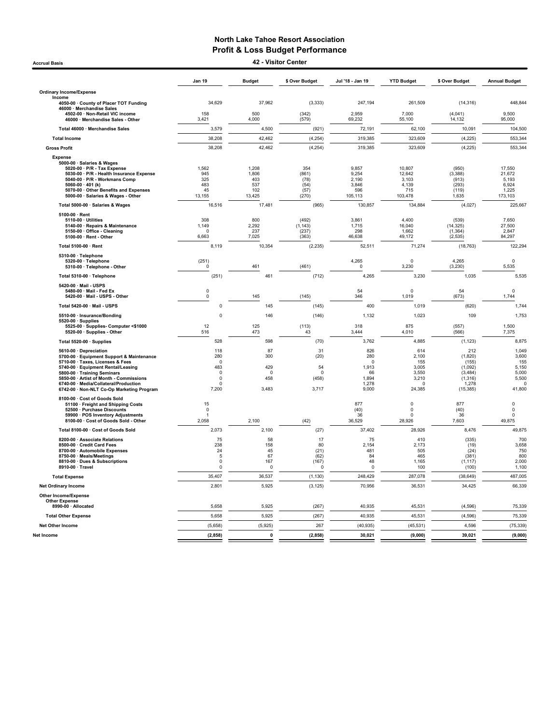Accrual Basis 42 - Visitor Center

|                                                                                                                                                                                                                                                                                                             | <b>Jan 19</b>                                                                    | <b>Budget</b>                                 | \$ Over Budget                                 | Jul '18 - Jan 19                                                    | <b>YTD Budget</b>                                                       | \$ Over Budget                                                                   | <b>Annual Budget</b>                                                   |
|-------------------------------------------------------------------------------------------------------------------------------------------------------------------------------------------------------------------------------------------------------------------------------------------------------------|----------------------------------------------------------------------------------|-----------------------------------------------|------------------------------------------------|---------------------------------------------------------------------|-------------------------------------------------------------------------|----------------------------------------------------------------------------------|------------------------------------------------------------------------|
| <b>Ordinary Income/Expense</b>                                                                                                                                                                                                                                                                              |                                                                                  |                                               |                                                |                                                                     |                                                                         |                                                                                  |                                                                        |
| Income<br>4050-00 County of Placer TOT Funding<br>46000 · Merchandise Sales                                                                                                                                                                                                                                 | 34,629                                                                           | 37,962                                        | (3, 333)                                       | 247,194                                                             | 261,509                                                                 | (14, 316)                                                                        | 448,844                                                                |
| 4502-00 · Non-Retail VIC income<br>46000 · Merchandise Sales - Other                                                                                                                                                                                                                                        | 158<br>3,421                                                                     | 500<br>4,000                                  | (342)<br>(579)                                 | 2,959<br>69,232                                                     | 7,000<br>55,100                                                         | (4,041)<br>14,132                                                                | 9,500<br>95,000                                                        |
| Total 46000 · Merchandise Sales                                                                                                                                                                                                                                                                             | 3,579                                                                            | 4,500                                         | (921)                                          | 72,191                                                              | 62,100                                                                  | 10,091                                                                           | 104,500                                                                |
| <b>Total Income</b>                                                                                                                                                                                                                                                                                         | 38,208                                                                           | 42.462                                        | (4, 254)                                       | 319.385                                                             | 323.609                                                                 | (4, 225)                                                                         | 553.344                                                                |
| <b>Gross Profit</b>                                                                                                                                                                                                                                                                                         | 38,208                                                                           | 42,462                                        | (4, 254)                                       | 319,385                                                             | 323,609                                                                 | (4, 225)                                                                         | 553,344                                                                |
| <b>Expense</b><br>5000-00 · Salaries & Wages<br>5020-00 · P/R - Tax Expense<br>5030-00 · P/R - Health Insurance Expense<br>5040-00 · P/R - Workmans Comp<br>5060-00 $\cdot$ 401 (k)<br>5070-00 Other Benefits and Expenses<br>5000-00 · Salaries & Wages - Other                                            | 1,562<br>945<br>325<br>483<br>45<br>13,155                                       | 1,208<br>1,806<br>403<br>537<br>102<br>13,425 | 354<br>(861)<br>(78)<br>(54)<br>(57)<br>(270)  | 9,857<br>9,254<br>2,190<br>3,846<br>596<br>105,113                  | 10,807<br>12,642<br>3,103<br>4,139<br>715<br>103,478                    | (950)<br>(3, 388)<br>(913)<br>(293)<br>(119)<br>1,635                            | 17,550<br>21,672<br>5,193<br>6,924<br>1,225<br>173,103                 |
| Total 5000-00 · Salaries & Wages                                                                                                                                                                                                                                                                            | 16,516                                                                           | 17,481                                        | (965)                                          | 130,857                                                             | 134,884                                                                 | (4,027)                                                                          | 225,667                                                                |
| 5100-00 · Rent<br>5110-00 · Utilities<br>5140-00 · Repairs & Maintenance<br>5150-00 · Office - Cleaning<br>5100-00 · Rent - Other                                                                                                                                                                           | 308<br>1,149<br>$\Omega$<br>6,663                                                | 800<br>2,292<br>237<br>7,025                  | (492)<br>(1, 143)<br>(237)<br>(363)            | 3,861<br>1,715<br>298<br>46,638                                     | 4,400<br>16,040<br>1,662<br>49,172                                      | (539)<br>(14, 325)<br>(1, 364)<br>(2, 535)                                       | 7,650<br>27,500<br>2,847<br>84,297                                     |
| Total 5100-00 · Rent                                                                                                                                                                                                                                                                                        | 8,119                                                                            | 10,354                                        | (2, 235)                                       | 52,511                                                              | 71,274                                                                  | (18, 763)                                                                        | 122,294                                                                |
| 5310-00 · Telephone<br>5320-00 · Telephone<br>5310-00 · Telephone - Other                                                                                                                                                                                                                                   | (251)<br>$\pmb{0}$                                                               | 461                                           | (461)                                          | 4,265<br>0                                                          | $\mathbf 0$<br>3,230                                                    | 4,265<br>(3, 230)                                                                | $\mathbf 0$<br>5,535                                                   |
| Total 5310-00 · Telephone                                                                                                                                                                                                                                                                                   | (251)                                                                            | 461                                           | (712)                                          | 4,265                                                               | 3,230                                                                   | 1,035                                                                            | 5,535                                                                  |
| 5420-00 · Mail - USPS<br>5480-00 · Mail - Fed Ex<br>5420-00 · Mail - USPS - Other                                                                                                                                                                                                                           | $\pmb{0}$<br>$\pmb{0}$                                                           | 145                                           | (145)                                          | 54<br>346                                                           | $\Omega$<br>1,019                                                       | 54<br>(673)                                                                      | $\mathbf 0$<br>1,744                                                   |
| Total 5420-00 · Mail - USPS                                                                                                                                                                                                                                                                                 | 0                                                                                | 145                                           | (145)                                          | 400                                                                 | 1,019                                                                   | (620)                                                                            | 1,744                                                                  |
| 5510-00 · Insurance/Bonding                                                                                                                                                                                                                                                                                 | 0                                                                                | 146                                           | (146)                                          | 1,132                                                               | 1,023                                                                   | 109                                                                              | 1,753                                                                  |
| 5520-00 · Supplies<br>5525-00 · Supplies- Computer <\$1000<br>5520-00 · Supplies - Other                                                                                                                                                                                                                    | 12<br>516                                                                        | 125<br>473                                    | (113)<br>43                                    | 318<br>3,444                                                        | 875<br>4,010                                                            | (557)<br>(566)                                                                   | 1,500<br>7,375                                                         |
| Total 5520-00 · Supplies                                                                                                                                                                                                                                                                                    | 528                                                                              | 598                                           | (70)                                           | 3,762                                                               | 4,885                                                                   | (1, 123)                                                                         | 8.875                                                                  |
| 5610-00 · Depreciation<br>5700-00 · Equipment Support & Maintenance<br>5710-00 · Taxes, Licenses & Fees<br>5740-00 · Equipment Rental/Leasing<br>5800-00 · Training Seminars<br>5850-00 Artist of Month - Commissions<br>6740-00 · Media/Collateral/Production<br>6742-00 · Non-NLT Co-Op Marketing Program | 118<br>280<br>$\mathbf 0$<br>483<br>$\mathbf 0$<br>$\Omega$<br>$\Omega$<br>7,200 | 87<br>300<br>429<br>0<br>458<br>3,483         | 31<br>(20)<br>54<br>$\Omega$<br>(458)<br>3,717 | 826<br>280<br>$\mathsf 0$<br>1,913<br>66<br>1,894<br>1,278<br>9.000 | 614<br>2,100<br>155<br>3,005<br>3,550<br>3,210<br>$\mathbf 0$<br>24,385 | 212<br>(1,820)<br>(155)<br>(1,092)<br>(3, 484)<br>(1, 316)<br>1,278<br>(15, 385) | 1,049<br>3,600<br>155<br>5,150<br>5,000<br>5,500<br>$\Omega$<br>41,800 |
| 8100-00 · Cost of Goods Sold<br>51100 · Freight and Shipping Costs<br>52500 · Purchase Discounts<br>59900 · POS Inventory Adjustments<br>8100-00 · Cost of Goods Sold - Other                                                                                                                               | 15<br>$^{\circ}$<br>2,058                                                        | 2,100                                         | (42)                                           | 877<br>(40)<br>36<br>36,529                                         | $\mathbf 0$<br>0<br>$\Omega$<br>28,926                                  | 877<br>(40)<br>36<br>7,603                                                       | $\mathbf 0$<br>$\pmb{0}$<br>$\mathbf 0$<br>49,875                      |
| Total 8100-00 · Cost of Goods Sold                                                                                                                                                                                                                                                                          | 2,073                                                                            | 2,100                                         | (27)                                           | 37,402                                                              | 28,926                                                                  | 8,476                                                                            | 49,875                                                                 |
| 8200-00 · Associate Relations<br>8500-00 · Credit Card Fees<br>8700-00 · Automobile Expenses<br>8750-00 · Meals/Meetings<br>8810-00 · Dues & Subscriptions<br>8910-00 · Travel                                                                                                                              | 75<br>238<br>24<br>$\sqrt{5}$<br>$\Omega$<br>$\Omega$                            | 58<br>158<br>45<br>67<br>167<br>0             | 17<br>80<br>(21)<br>(62)<br>(167)<br>$\Omega$  | 75<br>2,154<br>481<br>84<br>48<br>$\Omega$                          | 410<br>2,173<br>505<br>465<br>1,165<br>100                              | (335)<br>(19)<br>(24)<br>(381)<br>(1, 117)<br>(100)                              | 700<br>3,658<br>750<br>800<br>2,000<br>1,100                           |
| <b>Total Expense</b>                                                                                                                                                                                                                                                                                        | 35,407                                                                           | 36,537                                        | (1, 130)                                       | 248,429                                                             | 287,078                                                                 | (38, 649)                                                                        | 487,005                                                                |
| <b>Net Ordinary Income</b>                                                                                                                                                                                                                                                                                  | 2,801                                                                            | 5,925                                         | (3, 125)                                       | 70,956                                                              | 36,531                                                                  | 34,425                                                                           | 66,339                                                                 |
| <b>Other Income/Expense</b><br><b>Other Expense</b>                                                                                                                                                                                                                                                         |                                                                                  |                                               |                                                |                                                                     |                                                                         |                                                                                  |                                                                        |
| 8990-00 · Allocated                                                                                                                                                                                                                                                                                         | 5,658                                                                            | 5,925                                         | (267)                                          | 40,935                                                              | 45,531                                                                  | (4,596)                                                                          | 75,339                                                                 |
| <b>Total Other Expense</b>                                                                                                                                                                                                                                                                                  | 5,658                                                                            | 5,925                                         | (267)                                          | 40,935                                                              | 45,531                                                                  | (4,596)                                                                          | 75,339                                                                 |
| <b>Net Other Income</b>                                                                                                                                                                                                                                                                                     | (5,658)                                                                          | (5,925)                                       | 267                                            | (40, 935)                                                           | (45, 531)                                                               | 4.596                                                                            | (75, 339)                                                              |
| Net Income                                                                                                                                                                                                                                                                                                  | (2, 858)                                                                         | $\mathbf 0$                                   | (2, 858)                                       | 30.021                                                              | (9,000)                                                                 | 39.021                                                                           | (9,000)                                                                |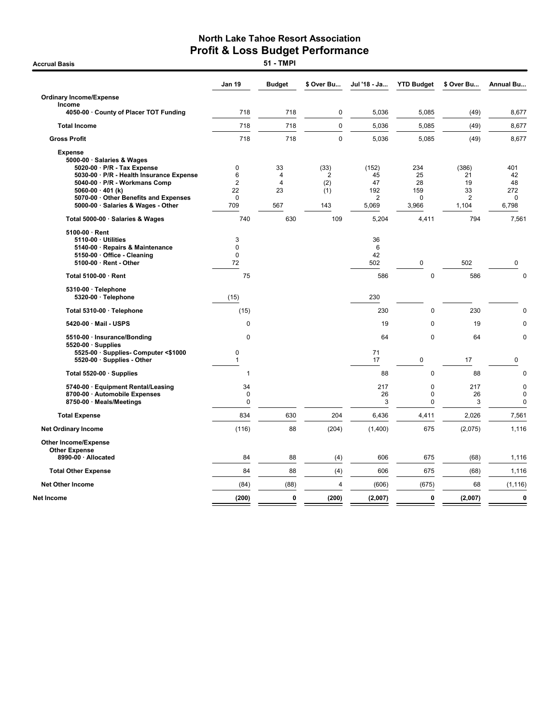|                                                                                                                                             | Jan 19                                             | <b>Budget</b>             | \$ Over Bu                   | Jul '18 - Ja         | <b>YTD Budget</b>           | \$ Over Bu          | Annual Bu                                 |
|---------------------------------------------------------------------------------------------------------------------------------------------|----------------------------------------------------|---------------------------|------------------------------|----------------------|-----------------------------|---------------------|-------------------------------------------|
| <b>Ordinary Income/Expense</b>                                                                                                              |                                                    |                           |                              |                      |                             |                     |                                           |
| Income<br>4050-00 · County of Placer TOT Funding                                                                                            | 718                                                | 718                       | 0                            | 5,036                | 5,085                       | (49)                | 8,677                                     |
| <b>Total Income</b>                                                                                                                         | 718                                                | 718                       | 0                            | 5,036                | 5,085                       | (49)                | 8,677                                     |
| <b>Gross Profit</b>                                                                                                                         | 718                                                | 718                       | 0                            | 5,036                | 5,085                       | (49)                | 8,677                                     |
| <b>Expense</b><br>5000-00 · Salaries & Wages<br>5020-00 · P/R - Tax Expense                                                                 | $\mathbf 0$                                        | 33                        | (33)                         | (152)                | 234                         | (386)               | 401                                       |
| 5030-00 · P/R - Health Insurance Expense<br>5040-00 · P/R - Workmans Comp<br>5060-00 $\cdot$ 401 (k)<br>5070-00 Other Benefits and Expenses | $6\phantom{1}$<br>$\overline{2}$<br>22<br>$\Omega$ | $\overline{4}$<br>4<br>23 | $\overline{2}$<br>(2)<br>(1) | 45<br>47<br>192<br>2 | 25<br>28<br>159<br>$\Omega$ | 21<br>19<br>33<br>2 | 42<br>48<br>272<br>$\Omega$               |
| 5000-00 · Salaries & Wages - Other                                                                                                          | 709                                                | 567                       | 143                          | 5,069                | 3,966                       | 1,104               | 6,798                                     |
| Total 5000-00 · Salaries & Wages                                                                                                            | 740                                                | 630                       | 109                          | 5,204                | 4,411                       | 794                 | 7,561                                     |
| $5100-00 \cdot$ Rent<br>5110-00 · Utilities<br>5140-00 · Repairs & Maintenance<br>5150-00 Office - Cleaning<br>5100-00 · Rent - Other       | 3<br>$\mathbf 0$<br>$\Omega$<br>72                 |                           |                              | 36<br>6<br>42<br>502 | 0                           | 502                 | 0                                         |
| Total 5100-00 · Rent                                                                                                                        | 75                                                 |                           |                              | 586                  | $\mathbf 0$                 | 586                 | $\mathbf 0$                               |
| 5310-00 · Telephone<br>5320-00 · Telephone                                                                                                  | (15)                                               |                           |                              | 230                  |                             |                     |                                           |
| Total 5310-00 · Telephone                                                                                                                   | (15)                                               |                           |                              | 230                  | $\mathbf 0$                 | 230                 | 0                                         |
| 5420-00 · Mail - USPS                                                                                                                       | $\mathbf 0$                                        |                           |                              | 19                   | $\mathbf 0$                 | 19                  | $\mathbf 0$                               |
| 5510-00 · Insurance/Bonding<br>$5520-00 \cdot$ Supplies                                                                                     | $\Omega$                                           |                           |                              | 64                   | $\mathbf 0$                 | 64                  | 0                                         |
| 5525-00 · Supplies- Computer <\$1000<br>5520-00 · Supplies - Other                                                                          | 0<br>$\mathbf{1}$                                  |                           |                              | 71<br>17             | 0                           | 17                  | 0                                         |
| Total 5520-00 · Supplies                                                                                                                    | 1                                                  |                           |                              | 88                   | $\mathbf 0$                 | 88                  | $\mathbf 0$                               |
| 5740-00 · Equipment Rental/Leasing<br>8700-00 · Automobile Expenses<br>8750-00 · Meals/Meetings                                             | 34<br>0<br>$\pmb{0}$                               |                           |                              | 217<br>26<br>3       | 0<br>0<br>0                 | 217<br>26<br>3      | $\mathbf 0$<br>$\mathbf 0$<br>$\mathbf 0$ |
| <b>Total Expense</b>                                                                                                                        | 834                                                | 630                       | 204                          | 6,436                | 4,411                       | 2,026               | 7,561                                     |
| <b>Net Ordinary Income</b>                                                                                                                  | (116)                                              | 88                        | (204)                        | (1,400)              | 675                         | (2,075)             | 1,116                                     |
| Other Income/Expense<br><b>Other Expense</b>                                                                                                |                                                    |                           |                              |                      |                             |                     |                                           |
| 8990-00 · Allocated                                                                                                                         | 84                                                 | 88                        | (4)                          | 606                  | 675                         | (68)                | 1,116                                     |
| <b>Total Other Expense</b>                                                                                                                  | 84                                                 | 88                        | (4)                          | 606                  | 675                         | (68)                | 1,116                                     |
| <b>Net Other Income</b>                                                                                                                     | (84)                                               | (88)                      | $\overline{4}$               | (606)                | (675)                       | 68                  | (1, 116)                                  |
| Net Income                                                                                                                                  | (200)                                              | $\mathbf 0$               | (200)                        | (2,007)              | 0                           | (2,007)             | $\mathbf 0$                               |

**Accrual Basis**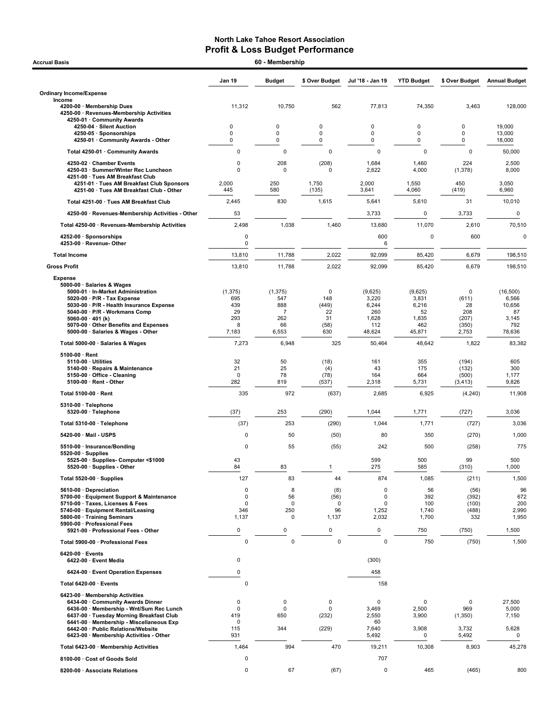| <b>Accrual Basis</b>                                                                                          | 60 - Membership   |                       |                    |                  |                   |                |                      |
|---------------------------------------------------------------------------------------------------------------|-------------------|-----------------------|--------------------|------------------|-------------------|----------------|----------------------|
|                                                                                                               | Jan 19            | <b>Budget</b>         | \$ Over Budget     | Jul '18 - Jan 19 | <b>YTD Budget</b> | \$ Over Budget | <b>Annual Budget</b> |
| <b>Ordinary Income/Expense</b>                                                                                |                   |                       |                    |                  |                   |                |                      |
| Income<br>4200-00 · Membership Dues<br>4250-00 · Revenues-Membership Activities<br>4250-01 · Community Awards | 11,312            | 10,750                | 562                | 77,813           | 74,350            | 3,463          | 128,000              |
| 4250-04 · Silent Auction                                                                                      | 0                 | 0                     | 0                  | 0                | 0                 | 0              | 19,000               |
| 4250-05 · Sponsorships<br>4250-01 Community Awards - Other                                                    | 0<br>0            | 0<br>0                | 0<br>0             | 0<br>0           | 0<br>$\mathbf 0$  | 0<br>0         | 13,000<br>18,000     |
| Total 4250-01 · Community Awards                                                                              | 0                 | 0                     | 0                  | $\pmb{0}$        | $\mathbf 0$       | 0              | 50,000               |
| 4250-02 · Chamber Events                                                                                      | 0                 | 208                   | (208)              | 1,684            | 1,460             | 224            | 2,500                |
| 4250-03 · Summer/Winter Rec Luncheon<br>4251-00 · Tues AM Breakfast Club                                      | 0                 | 0                     | 0                  | 2,622            | 4,000             | (1, 378)       | 8,000                |
| 4251-01 · Tues AM Breakfast Club Sponsors<br>4251-00 · Tues AM Breakfast Club - Other                         | 2,000<br>445      | 250<br>580            | 1,750<br>(135)     | 2,000<br>3,641   | 1,550<br>4,060    | 450<br>(419)   | 3,050<br>6,960       |
| Total 4251-00 · Tues AM Breakfast Club                                                                        | 2,445             | 830                   | 1,615              | 5,641            | 5,610             | 31             | 10,010               |
| 4250-00 · Revenues-Membership Activities - Other                                                              | 53                |                       |                    | 3,733            | 0                 | 3,733          | $\mathbf 0$          |
| Total 4250-00 · Revenues-Membership Activities                                                                | 2,498             | 1,038                 | 1,460              | 13,680           | 11,070            | 2,610          | 70,510               |
| 4252-00 · Sponsorships                                                                                        | 0                 |                       |                    | 600              | $\mathbf 0$       | 600            |                      |
| 4253-00 · Revenue- Other                                                                                      | 0                 |                       |                    | 6                |                   |                |                      |
| <b>Total Income</b>                                                                                           | 13,810            | 11,788                | 2,022              | 92,099           | 85,420            | 6,679          | 198.510              |
| <b>Gross Profit</b>                                                                                           | 13,810            | 11,788                | 2,022              | 92,099           | 85,420            | 6,679          | 198,510              |
| <b>Expense</b><br>5000-00 · Salaries & Wages                                                                  |                   |                       |                    |                  |                   |                |                      |
| 5000-01 · In-Market Administration<br>5020-00 · P/R - Tax Expense                                             | (1, 375)<br>695   | (1, 375)<br>547       | $\mathbf 0$<br>148 | (9,625)<br>3,220 | (9,625)<br>3,831  | 0<br>(611)     | (16, 500)<br>6,566   |
| 5030-00 · P/R - Health Insurance Expense                                                                      | 439               | 888                   | (449)              | 6,244            | 6,216             | 28             | 10,656               |
| 5040-00 · P/R - Workmans Comp<br>5060-00 $\cdot$ 401 (k)                                                      | 29<br>293         | $\overline{7}$<br>262 | 22<br>31           | 260<br>1,628     | 52<br>1,835       | 208<br>(207)   | 87<br>3,145          |
| 5070-00 Other Benefits and Expenses<br>5000-00 · Salaries & Wages - Other                                     | 8<br>7,183        | 66<br>6,553           | (58)<br>630        | 112<br>48,624    | 462<br>45,871     | (350)<br>2,753 | 792<br>78,636        |
| Total 5000-00 · Salaries & Wages                                                                              | 7,273             | 6,948                 | 325                | 50,464           | 48,642            | 1,822          | 83,382               |
| $5100-00 \cdot$ Rent                                                                                          |                   |                       |                    |                  |                   |                |                      |
| $5110-00 \cdot$ Utilities                                                                                     | 32                | 50                    | (18)               | 161              | 355               | (194)          | 605                  |
| 5140-00 · Repairs & Maintenance<br>5150-00 · Office - Cleaning                                                | 21<br>$\mathbf 0$ | 25<br>78              | (4)<br>(78)        | 43<br>164        | 175<br>664        | (132)<br>(500) | 300<br>1,177         |
| 5100-00 · Rent - Other                                                                                        | 282               | 819                   | (537)              | 2,318            | 5,731             | (3, 413)       | 9,826                |
| Total 5100-00 · Rent                                                                                          | 335               | 972                   | (637)              | 2,685            | 6,925             | (4,240)        | 11,908               |
| 5310-00 · Telephone<br>5320-00 · Telephone                                                                    | (37)              | 253                   | (290)              | 1,044            | 1,771             | (727)          | 3,036                |
| Total 5310-00 · Telephone                                                                                     | (37)              | 253                   | (290)              | 1,044            | 1,771             | (727)          | 3,036                |
| 5420-00 Mail - USPS                                                                                           | 0                 | 50                    | (50)               | 80               | 350               | (270)          | 1,000                |
| 5510-00 · Insurance/Bonding                                                                                   | $\Omega$          | 55                    | (55)               | 242              | 500               | (258)          | 775                  |
| $5520-00 \cdot$ Supplies<br>5525-00 · Supplies- Computer <\$1000                                              | 43                |                       |                    | 599              | 500               | 99             | 500                  |
| 5520-00 · Supplies - Other                                                                                    | 84                | 83                    | $\mathbf{1}$       | 275              | 585               | (310)          | 1,000                |
| Total 5520-00 · Supplies                                                                                      | 127               | 83                    | 44                 | 874              | 1,085             | (211)          | 1,500                |
| 5610-00 Depreciation<br>5700-00 · Equipment Support & Maintenance                                             | 0<br>0            | 8<br>56               | (8)<br>(56)        | 0<br>$\mathbf 0$ | 56<br>392         | (56)<br>(392)  | 96<br>672            |
| 5710-00 · Taxes, Licenses & Fees                                                                              | 0                 | 0                     | 0                  | $\mathbf 0$      | 100               | (100)          | 200                  |
| 5740-00 · Equipment Rental/Leasing<br>5800-00 · Training Seminars                                             | 346<br>1,137      | 250<br>0              | 96<br>1,137        | 1,252<br>2,032   | 1,740<br>1,700    | (488)<br>332   | 2,990<br>1,950       |
| 5900-00 · Professional Fees<br>5921-00 · Professional Fees - Other                                            | 0                 | 0                     | 0                  | 0                | 750               | (750)          | 1,500                |
| Total 5900-00 · Professional Fees                                                                             | 0                 | 0                     | 0                  | $\mathbf 0$      | 750               | (750)          | 1,500                |
| 6420-00 · Events                                                                                              |                   |                       |                    |                  |                   |                |                      |
| 6422-00 · Event Media                                                                                         | 0                 |                       |                    | (300)            |                   |                |                      |
| 6424-00 · Event Operation Expenses                                                                            | 0                 |                       |                    | 458              |                   |                |                      |
| Total 6420-00 · Events                                                                                        | 0                 |                       |                    | 158              |                   |                |                      |
| 6423-00 · Membership Activities<br>6434-00 Community Awards Dinner                                            | 0                 | 0                     | 0                  | $\mathbf 0$      | $\mathbf 0$       | 0              | 27,500               |
| 6436-00 · Membership - Wnt/Sum Rec Lunch                                                                      | 0                 | 0                     | 0                  | 3,469            | 2,500             | 969            | 5,000                |
| 6437-00 · Tuesday Morning Breakfast Club<br>6441-00 Membership - Miscellaneous Exp                            | 419<br>0          | 650                   | (232)              | 2,550<br>60      | 3,900             | (1,350)        | 7,150                |
| 6442-00 · Public Relations/Website<br>6423-00 · Membership Activities - Other                                 | 115<br>931        | 344                   | (229)              | 7,640<br>5,492   | 3,908<br>0        | 3,732<br>5,492 | 5,628<br>0           |
| Total 6423-00 · Membership Activities                                                                         | 1,464             | 994                   | 470                | 19,211           | 10,308            | 8,903          | 45,278               |
| 8100-00 · Cost of Goods Sold                                                                                  | 0                 |                       |                    | 707              |                   |                |                      |
| 8200-00 · Associate Relations                                                                                 | 0                 | 67                    | (67)               | $\pmb{0}$        | 465               | (465)          | 800                  |
|                                                                                                               |                   |                       |                    |                  |                   |                |                      |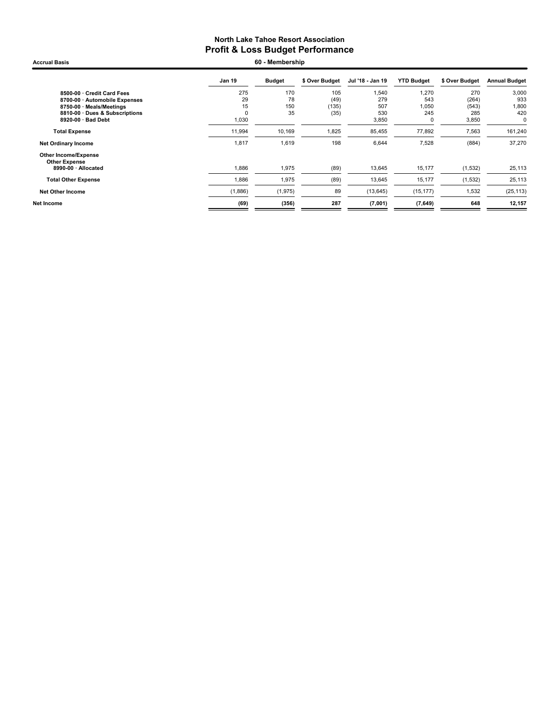Jan 19 Budget \$ Over Budget Jul '18 - Jan 19 YTD Budget \$ Over Budget Annual Budget 8500-00 · Credit Card Fees 275 170 105 1,540 1,270 270 3,000 8700-00 · Automobile Expenses 29 78 (49) 279 543 (264) 933 8750-00 · Meals/Meetings 15 150 (135) 507 1,050 (543) 1,800 8810-00 · Dues & Subscriptions 0 35 (35) 530 245 285 420 8920-00  $\cdot$  Bad Debt **Total Expense** 11,994 10,169 1,825 85,455 77,892 7,563 161,240 Net Ordinary Income 2012 1,817 1,619 198 6,644 7,528 (884) 37,270 Other Income/Expense Other Expense<br> 8990-00 · Allocated 1,886 1,975 (89) 13,645 15,177 (1,532) 25,113 **Total Other Expense** 1,886 1,975 (89) 13,645 15,177 (1,532) 25,113 Net Other Income (1,886) (1,975) 89 (13,645) (15,177) 1,532 (25,113) Net Income (69) (356) 287 (7,001) (7,649) 648 12,157 Accrual Basis 60 - Membership